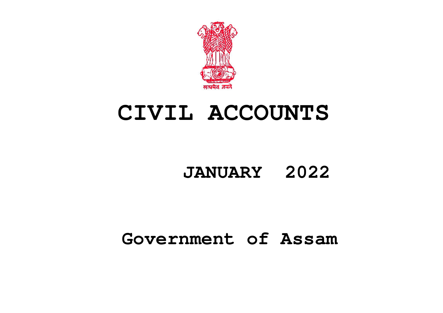

# **CIVIL ACCOUNTS**

# **JANUARY 2022**

# **Government of Assam**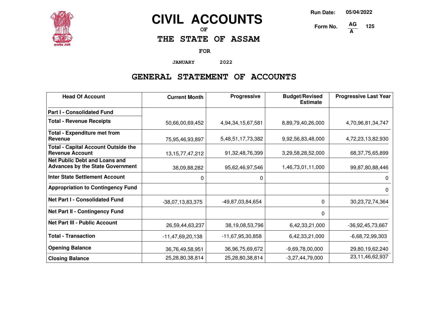

# **CIVIL ACCOUNTS**

**OF**

**THE STATE OF ASSAM**

**FOR**

**JANUARY 2022**

### **GENERAL STATEMENT OF ACCOUNTS**

| <b>Head Of Account</b>                                                          | <b>Current Month</b> | <b>Progressive</b> | <b>Budget/Revised</b><br><b>Estimate</b> | <b>Progressive Last Year</b> |
|---------------------------------------------------------------------------------|----------------------|--------------------|------------------------------------------|------------------------------|
| <b>Part I - Consolidated Fund</b>                                               |                      |                    |                                          |                              |
| <b>Total - Revenue Receipts</b>                                                 | 50,66,00,69,452      | 4,94,34,15,67,581  | 8,89,79,40,26,000                        | 4,70,96,81,34,747            |
| <b>Total - Expenditure met from</b><br>Revenue                                  | 75,95,46,93,897      | 5,48,51,17,73,382  | 9,92,56,83,48,000                        | 4,72,23,13,82,930            |
| <b>Total - Capital Account Outside the</b><br><b>Revenue Account</b>            | 13, 15, 77, 47, 212  | 91,32,48,76,399    | 3,29,58,28,52,000                        | 68, 37, 75, 65, 899          |
| <b>Net Public Debt and Loans and</b><br><b>Advances by the State Government</b> | 38,09,88,282         | 95,62,46,97,546    | 1,46,73,01,11,000                        | 99,87,80,88,446              |
| <b>Inter State Settlement Account</b>                                           | 0                    | 0                  |                                          | 0                            |
| <b>Appropriation to Contingency Fund</b>                                        |                      |                    |                                          | 0                            |
| <b>Net Part I - Consolidated Fund</b>                                           | $-38,07,13,83,375$   | -49,87,03,84,654   | 0                                        | 30, 23, 72, 74, 364          |
| Net Part II - Contingency Fund                                                  |                      |                    | 0                                        |                              |
| <b>Net Part III - Public Account</b>                                            | 26,59,44,63,237      | 38,19,08,53,796    | 6,42,33,21,000                           | $-36,92,45,73,667$           |
| <b>Total - Transaction</b>                                                      | $-11,47,69,20,138$   | -11,67,95,30,858   | 6,42,33,21,000                           | $-6,68,72,99,303$            |
| <b>Opening Balance</b>                                                          | 36,76,49,58,951      | 36,96,75,69,672    | $-9,69,78,00,000$                        | 29,80,19,62,240              |
| <b>Closing Balance</b>                                                          | 25,28,80,38,814      | 25,28,80,38,814    | $-3,27,44,79,000$                        | 23, 11, 46, 62, 937          |

**Run Date: 05/04/2022**

**125**

**Form No.**  $\frac{AG}{A}$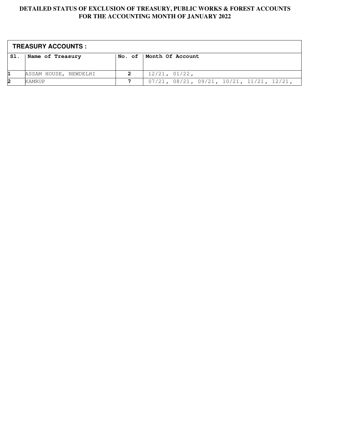|     | <b>TREASURY ACCOUNTS :</b> |   |                                                             |  |  |  |
|-----|----------------------------|---|-------------------------------------------------------------|--|--|--|
| SI. | Name of Treasury           |   | No. of   Month Of Account                                   |  |  |  |
|     |                            |   |                                                             |  |  |  |
|     | ASSAM HOUSE, NEWDELHI      | 2 | $12/21$ , $01/22$ ,                                         |  |  |  |
| 12  | <b>KAMRUP</b>              |   | $07/21$ , $08/21$ , $09/21$ , $10/21$ , $11/21$ , $12/21$ , |  |  |  |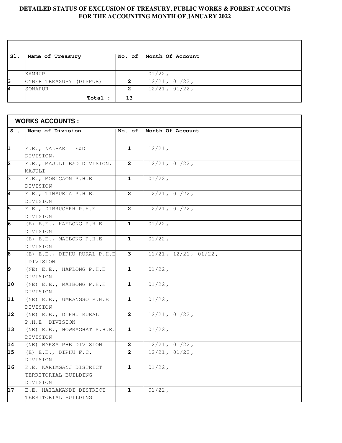| SI. | Name of Treasury        |    | No. of   Month Of Account |
|-----|-------------------------|----|---------------------------|
|     |                         |    |                           |
|     | KAMRUP                  |    | $01/22$ ,                 |
| 3   | CYBER TREASURY (DISPUR) | 2  | 12/21, 01/22,             |
| 4   | <b>SONAPUR</b>          | 2  | $12/21$ , $01/22$ ,       |
|     | Total :                 | 13 |                           |

|                | <b>WORKS ACCOUNTS :</b>                                     |                |                      |  |  |
|----------------|-------------------------------------------------------------|----------------|----------------------|--|--|
| SI.            | Name of Division                                            | No. of         | Month Of Account     |  |  |
|                |                                                             |                |                      |  |  |
| 1              | E.E., NALBARI E&D                                           | $\mathbf{1}$   | $12/21$ ,            |  |  |
|                | DIVISION,                                                   |                |                      |  |  |
| $\overline{2}$ | E.E., MAJULI E&D DIVISION,<br>MAJULI                        | $\overline{2}$ | 12/21, 01/22,        |  |  |
| $\overline{3}$ | E.E., MORIGAON P.H.E<br>DIVISION                            | $\mathbf{1}$   | $01/22$ ,            |  |  |
| $\overline{4}$ | E.E., TINSUKIA P.H.E.<br>DIVISION                           | $\mathbf{2}$   | 12/21, 01/22,        |  |  |
| $\overline{5}$ | E.E., DIBRUGARH P.H.E.<br>DIVISION                          | $\overline{2}$ | 12/21, 01/22,        |  |  |
| 6              | (E) E.E., HAFLONG P.H.E<br>DIVISION                         | $\mathbf{1}$   | $01/22$ ,            |  |  |
| $\overline{7}$ | (E) E.E., MAIBONG P.H.E<br>DIVISION                         | $\mathbf{1}$   | $01/22$ ,            |  |  |
| $\overline{8}$ | $(E) E.E.,$ DIPHU RURAL P.H.E<br>DIVISION                   | 3              | 11/21, 12/21, 01/22, |  |  |
| $\overline{9}$ | (NE) E.E., HAFLONG P.H.E<br>DIVISION                        | $\mathbf{1}$   | $01/22$ ,            |  |  |
| 10             | (NE) E.E., MAIBONG P.H.E<br>DIVISION                        | $\mathbf{1}$   | $01/22$ ,            |  |  |
| 11             | (NE) E.E., UMRANGSO P.H.E<br>DIVISION                       | $\mathbf{1}$   | $01/22$ ,            |  |  |
| 12             | (NE) E.E., DIPHU RURAL<br>P.H.E DIVISION                    | $\mathbf{2}$   | 12/21, 01/22,        |  |  |
| 13             | (NE) E.E., HOWRAGHAT P.H.E.<br>DIVISION                     | 1              | $01/22$ ,            |  |  |
| 14             | (NE) BAKSA PHE DIVISION                                     | 2              | 12/21, 01/22,        |  |  |
| 15             | (E) E.E., DIPHU F.C.<br>DIVISION                            | $\overline{2}$ | $12/21$ , $01/22$ ,  |  |  |
| 16             | E.E. KARIMGANJ DISTRICT<br>TERRITORIAL BUILDING<br>DIVISION | $\mathbf{1}$   | $01/22$ ,            |  |  |
| 17             | E.E. HAILAKANDI DISTRICT<br>TERRITORIAL BUILDING            | $\mathbf{1}$   | $01/22$ ,            |  |  |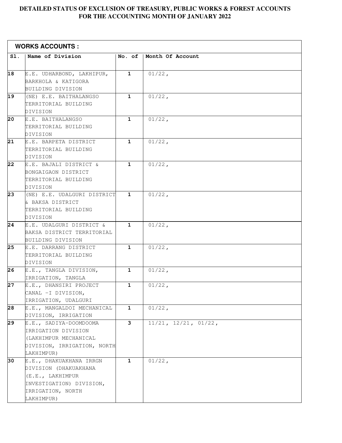|                 | <b>WORKS ACCOUNTS:</b>      |              |                               |
|-----------------|-----------------------------|--------------|-------------------------------|
| SI.             | Name of Division            | No. of       | Month Of Account              |
|                 |                             |              |                               |
| 18              | E.E. UDHARBOND, LAKHIPUR,   | $\mathbf{1}$ | $01/22$ ,                     |
|                 | BARKHOLA & KATIGORA         |              |                               |
|                 | BUILDING DIVISION           |              |                               |
| 19              | (NE) E.E. BAITHALANGSO      | $\mathbf{1}$ | $01/22$ ,                     |
|                 | TERRITORIAL BUILDING        |              |                               |
|                 | DIVISION                    |              |                               |
| $\overline{20}$ | E.E. BAITHALANGSO           | $\mathbf{1}$ | $01/22$ ,                     |
|                 | TERRITORIAL BUILDING        |              |                               |
|                 | DIVISION                    |              |                               |
| 21              | E.E. BARPETA DISTRICT       | $\mathbf{1}$ | $01/22$ ,                     |
|                 | TERRITORIAL BUILDING        |              |                               |
|                 | DIVISION                    |              |                               |
| $\overline{22}$ | E.E. BAJALI DISTRICT &      | $\mathbf{1}$ | $01/22$ ,                     |
|                 | BONGAIGAON DISTRICT         |              |                               |
|                 | TERRITORIAL BUILDING        |              |                               |
|                 | DIVISION                    |              |                               |
| 23              | (NE) E.E. UDALGURI DISTRICT | $\mathbf{1}$ | $01/22$ ,                     |
|                 | & BAKSA DISTRICT            |              |                               |
|                 | TERRITORIAL BUILDING        |              |                               |
|                 | DIVISION                    |              |                               |
| 24              | E.E. UDALGURI DISTRICT &    | $\mathbf{1}$ | $01/22$ ,                     |
|                 | BAKSA DISTRICT TERRITORIAL  |              |                               |
|                 | BUILDING DIVISION           |              |                               |
| 25              | E.E. DARRANG DISTRICT       | $\mathbf{1}$ | $01/22$ ,                     |
|                 | TERRITORIAL BUILDING        |              |                               |
|                 | DIVISION                    |              |                               |
| 26              | E.E., TANGLA DIVISION,      | $\mathbf{1}$ | $01/22$ ,                     |
|                 | IRRIGATION, TANGLA          |              |                               |
| 27              | E.E., DHANSIRI PROJECT      | $\mathbf{1}$ | $01/22$ ,                     |
|                 | CANAL -I DIVISION,          |              |                               |
|                 | IRRIGATION, UDALGURI        |              |                               |
| 28              | E.E., MANGALDOI MECHANICAL  | $\mathbf{1}$ | $01/22$ ,                     |
|                 | DIVISION, IRRIGATION        |              |                               |
| 29              | E.E., SADIYA-DOOMDOOMA      | 3            | $11/21$ , $12/21$ , $01/22$ , |
|                 | IRRIGATION DIVISION         |              |                               |
|                 | (LAKHIMPUR MECHANICAL       |              |                               |
|                 | DIVISION, IRRIGATION, NORTH |              |                               |
|                 | LAKHIMPUR)                  |              |                               |
| 30              | E.E., DHAKUAKHANA IRRGN     | $\mathbf{1}$ | $01/22$ ,                     |
|                 | DIVISION (DHAKUAKHANA       |              |                               |
|                 | (E.E., LAKHIMPUR            |              |                               |
|                 | INVESTIGATION) DIVISION,    |              |                               |
|                 | IRRIGATION, NORTH           |              |                               |
|                 | LAKHIMPUR)                  |              |                               |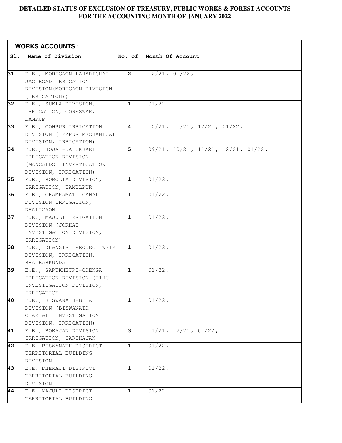|     | <b>WORKS ACCOUNTS :</b>                                                                           |              |                                                   |
|-----|---------------------------------------------------------------------------------------------------|--------------|---------------------------------------------------|
| SI. | Name of Division                                                                                  | No. of       | Month Of Account                                  |
| 31  | E.E., MORIGAON-LAHARIGHAT-<br>JAGIROAD IRRIGATION<br>DIVISION (MORIGAON DIVISION                  | $\mathbf{2}$ | $12/21$ , $01/22$ ,                               |
|     | (IRRIGATION))                                                                                     |              |                                                   |
| 32  | E.E., SUKLA DIVISION,<br>IRRIGATION, GORESWAR,<br>KAMRUP                                          | 1            | $01/22$ ,                                         |
| 33  | E.E., GOHPUR IRRIGATION<br>DIVISION (TEZPUR MECHANICAL<br>DIVISION, IRRIGATION)                   | 4            | $10/21$ , $11/21$ , $12/21$ , $01/22$ ,           |
| 34  | E.E., HOJAI-JALUKBARI<br>IRRIGATION DIVISION<br>(MANGALDOI INVESTIGATION<br>DIVISION, IRRIGATION) | 5            | $09/21$ , $10/21$ , $11/21$ , $12/21$ , $01/22$ , |
| 35  | E.E., BOROLIA DIVISION,<br>IRRIGATION, TAMULPUR                                                   | 1            | $01/22$ ,                                         |
| 36  | E.E., CHAMPAMATI CANAL<br>DIVISION IRRIGATION,<br>DHALIGAON                                       | 1            | $01/22$ ,                                         |
| 37  | E.E., MAJULI IRRIGATION<br>DIVISION (JORHAT<br>INVESTIGATION DIVISION,<br>IRRIGATION)             | 1            | $01/22$ ,                                         |
| 38  | E.E., DHANSIRI PROJECT WEIR<br>DIVISION, IRRIGATION,<br>BHAIRABKUNDA                              | $\mathbf{1}$ | $01/22$ ,                                         |
| 39  | E.E., SARUKHETRI-CHENGA<br>IRRIGATION DIVISION (TIHU<br>INVESTIGATION DIVISION,<br>IRRIGATION)    | $\mathbf{1}$ | $01/22$ ,                                         |
| 40  | E.E., BISWANATH-BEHALI<br>DIVISION (BISWANATH<br>CHARIALI INVESTIGATION<br>DIVISION, IRRIGATION)  | $\mathbf{1}$ | $01/22$ ,                                         |
| 41  | E.E., BOKAJAN DIVISION<br>IRRIGATION, SARIHAJAN                                                   | 3            | $11/21$ , $12/21$ , $01/22$ ,                     |
| 42  | E.E. BISWANATH DISTRICT<br>TERRITORIAL BUILDING<br>DIVISION                                       | 1            | $01/22$ ,                                         |
| 43  | E.E. DHEMAJI DISTRICT<br>TERRITORIAL BUILDING<br>DIVISION                                         | 1            | $01/22$ ,                                         |
| 44  | E.E. MAJULI DISTRICT<br>TERRITORIAL BUILDING                                                      | 1            | $01/22$ ,                                         |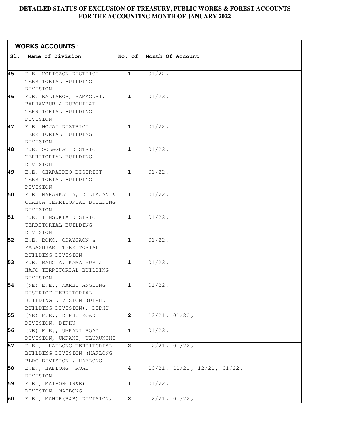|                 | <b>WORKS ACCOUNTS:</b>             |              |                                         |  |  |
|-----------------|------------------------------------|--------------|-----------------------------------------|--|--|
| S1.             | Name of Division                   | No. of       | Month Of Account                        |  |  |
|                 |                                    |              |                                         |  |  |
| 45              | E.E. MORIGAON DISTRICT             | $\mathbf{1}$ | $01/22$ ,                               |  |  |
|                 | TERRITORIAL BUILDING               |              |                                         |  |  |
|                 | DIVISION                           |              |                                         |  |  |
| 46              | E.E. KALIABOR, SAMAGURI,           | $\mathbf{1}$ | $01/22$ ,                               |  |  |
|                 | BARHAMPUR & RUPOHIHAT              |              |                                         |  |  |
|                 | TERRITORIAL BUILDING               |              |                                         |  |  |
| 47              | DIVISION<br>E.E. HOJAI DISTRICT    | $\mathbf{1}$ | $01/22$ ,                               |  |  |
|                 |                                    |              |                                         |  |  |
|                 | TERRITORIAL BUILDING               |              |                                         |  |  |
| 48              | DIVISION<br>E.E. GOLAGHAT DISTRICT | $\mathbf{1}$ | $01/22$ ,                               |  |  |
|                 | TERRITORIAL BUILDING               |              |                                         |  |  |
|                 | DIVISION                           |              |                                         |  |  |
| $\overline{49}$ | E.E. CHARAIDEO DISTRICT            | $\mathbf{1}$ | $01/22$ ,                               |  |  |
|                 | TERRITORIAL BUILDING               |              |                                         |  |  |
|                 | DIVISION                           |              |                                         |  |  |
| 50              | E.E. NAHARKATIA, DULIAJAN &        | $\mathbf{1}$ | $01/22$ ,                               |  |  |
|                 | CHABUA TERRITORIAL BUILDING        |              |                                         |  |  |
|                 | DIVISION                           |              |                                         |  |  |
| 51              | E.E. TINSUKIA DISTRICT             | $\mathbf{1}$ | $01/22$ ,                               |  |  |
|                 | TERRITORIAL BUILDING               |              |                                         |  |  |
|                 | DIVISION                           |              |                                         |  |  |
| 52              | E.E. BOKO, CHAYGAON &              | $\mathbf{1}$ | $01/22$ ,                               |  |  |
|                 | PALASHBARI TERRITORIAL             |              |                                         |  |  |
|                 | BUILDING DIVISION                  |              |                                         |  |  |
| 53              | E.E. RANGIA, KAMALPUR &            | $\mathbf{1}$ | $01/22$ ,                               |  |  |
|                 | HAJO TERRITORIAL BUILDING          |              |                                         |  |  |
|                 | DIVISION                           |              |                                         |  |  |
| 54              | (NE) E.E., KARBI ANGLONG           | $\mathbf{1}$ | $01/22$ ,                               |  |  |
|                 | DISTRICT TERRITORIAL               |              |                                         |  |  |
|                 | BUILDING DIVISION (DIPHU           |              |                                         |  |  |
|                 | BUILDING DIVISION), DIPHU          |              |                                         |  |  |
| 55              | (NE) E.E., DIPHU ROAD              | $\mathbf{2}$ | 12/21, 01/22,                           |  |  |
|                 | DIVISION, DIPHU                    |              |                                         |  |  |
| 56              | (NE) E.E., UMPANI ROAD             | $\mathbf{1}$ | $01/22$ ,                               |  |  |
|                 | DIVISION, UMPANI, ULUKUNCHI        |              |                                         |  |  |
| 57              | E.E., HAFLONG TERRITORIAL          | $\mathbf{2}$ | $12/21$ , $01/22$ ,                     |  |  |
|                 | BUILDING DIVISION (HAFLONG         |              |                                         |  |  |
|                 | BLDG.DIVISION), HAFLONG            |              |                                         |  |  |
| 58              | E.E., HAFLONG ROAD                 | 4            | $10/21$ , $11/21$ , $12/21$ , $01/22$ , |  |  |
|                 | DIVISION                           |              |                                         |  |  |
| 59              | E.E., MAIBONG(R&B)                 | 1            | $01/22$ ,                               |  |  |
|                 | DIVISION, MAIBONG                  |              |                                         |  |  |
| 60              | E.E., MAHUR (R&B) DIVISION,        | $\mathbf{2}$ | $12/21$ , $01/22$ ,                     |  |  |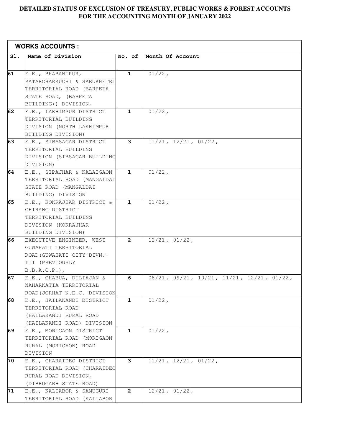|     | <b>WORKS ACCOUNTS:</b>                                                                                                        |                |                                           |
|-----|-------------------------------------------------------------------------------------------------------------------------------|----------------|-------------------------------------------|
| SI. | Name of Division                                                                                                              | No. of         | Month Of Account                          |
| 61  | E.E., BHABANIPUR,<br>PATARCHARKUCHI & SARUKHETRI<br>TERRITORIAL ROAD (BARPETA<br>STATE ROAD, (BARPETA<br>BUILDING)) DIVISION, | $\mathbf{1}$   | $01/22$ ,                                 |
| 62  | E.E., LAKHIMPUR DISTRICT<br>TERRITORIAL BUILDING<br>DIVISION (NORTH LAKHIMPUR<br>BUILDING DIVISION)                           | $\mathbf{1}$   | $01/22$ ,                                 |
| 63  | E.E., SIBASAGAR DISTRICT<br>TERRITORIAL BUILDING<br>DIVISION (SIBSAGAR BUILDING<br>DIVISION)                                  | $\overline{3}$ | $11/21$ , $12/21$ , $01/22$ ,             |
| 64  | E.E., SIPAJHAR & KALAIGAON<br>TERRITORIAL ROAD (MANGALDAI<br>STATE ROAD (MANGALDAI<br>BUILDING) DIVISION                      | $\mathbf{1}$   | $01/22$ ,                                 |
| 65  | E.E., KOKRAJHAR DISTRICT &<br>CHIRANG DISTRICT<br>TERRITORIAL BUILDING<br>DIVISION (KOKRAJHAR<br>BUILDING DIVISION)           | $\mathbf{1}$   | $01/22$ ,                                 |
| 66  | EXECUTIVE ENGINEER, WEST<br>GUWAHATI TERRITORIAL<br>ROAD (GUWAHATI CITY DIVN.-<br>III (PREVIOUSLY<br>B.B.A.C.P.)              | $\overline{2}$ | $12/21$ , $01/22$ ,                       |
| 67  | E.E., CHABUA, DULIAJAN &<br>NAHARKATIA TERRITORIAL<br>ROAD (JORHAT N.E.C. DIVISION                                            | 6              | 08/21, 09/21, 10/21, 11/21, 12/21, 01/22, |
| 68  | E.E., HAILAKANDI DISTRICT<br>TERRITORIAL ROAD<br>(HAILAKANDI RURAL ROAD<br>(HAILAKANDI ROAD) DIVISION                         | $\mathbf{1}$   | $01/22$ ,                                 |
| 69  | E.E., MORIGAON DISTRICT<br>TERRITORIAL ROAD (MORIGAON<br>RURAL (MORIGAON) ROAD<br>DIVISION                                    | $\mathbf{1}$   | $01/22$ ,                                 |
| 70  | E.E., CHARAIDEO DISTRICT<br>TERRITORIAL ROAD (CHARAIDEO<br>RURAL ROAD DIVISION,<br>(DIBRUGARH STATE ROAD)                     | 3              | $11/21$ , $12/21$ , $01/22$ ,             |
| 71  | E.E., KALIABOR & SAMUGURI<br>TERRITORIAL ROAD (KALIABOR                                                                       | $\overline{2}$ | 12/21, 01/22,                             |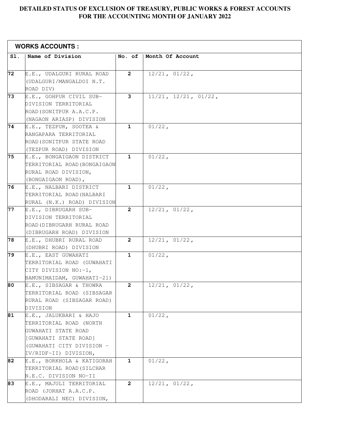|     | <b>WORKS ACCOUNTS:</b>                              |                |                               |
|-----|-----------------------------------------------------|----------------|-------------------------------|
| SI. | Name of Division                                    | No. of         | Month Of Account              |
|     |                                                     |                |                               |
| 72  | E.E., UDALGURI RURAL ROAD                           | $\mathbf{2}$   | 12/21, 01/22,                 |
|     | (UDALGURI/MANGALDOI N.T.                            |                |                               |
|     | ROAD DIV)                                           |                |                               |
| 73  | E.E., GOHPUR CIVIL SUB-                             | 3              | $11/21$ , $12/21$ , $01/22$ , |
|     | DIVISION TERRITORIAL                                |                |                               |
|     | ROAD (SONITPUR A.A.C.P.                             |                |                               |
|     | (NAGAON ARIASP) DIVISION                            |                |                               |
| 74  | E.E., TEZPUR, SOOTEA &                              | $\mathbf{1}$   | $01/22$ ,                     |
|     | RANGAPARA TERRITORIAL                               |                |                               |
|     | ROAD (SONITPUR STATE ROAD                           |                |                               |
|     | (TEZPUR ROAD) DIVISION                              |                |                               |
| 75  | E.E., BONGAIGAON DISTRICT                           | $\mathbf{1}$   | $01/22$ ,                     |
|     | TERRITORIAL ROAD (BONGAIGAON                        |                |                               |
|     | RURAL ROAD DIVISION,                                |                |                               |
| 76  | (BONGAIGAON ROAD),                                  | $\mathbf{1}$   | $01/22$ ,                     |
|     | E.E., NALBARI DISTRICT<br>TERRITORIAL ROAD (NALBARI |                |                               |
|     | RURAL (N.K.) ROAD) DIVISION                         |                |                               |
| 77  | E.E., DIBRUGARH SUB-                                | $\mathbf{2}$   | 12/21, 01/22,                 |
|     | DIVISION TERRITORIAL                                |                |                               |
|     | ROAD (DIBRUGARH RURAL ROAD                          |                |                               |
|     | (DIBRUGARH ROAD) DIVISION                           |                |                               |
| 78  | E.E., DHUBRI RURAL ROAD                             | $\overline{2}$ | 12/21, 01/22,                 |
|     | (DHUBRI ROAD) DIVISION                              |                |                               |
| 79  | E.E., EAST GUWAHATI                                 | $\mathbf{1}$   | $01/22$ ,                     |
|     | TERRITORIAL ROAD (GUWAHATI                          |                |                               |
|     | CITY DIVISION $NO:-1$ ,                             |                |                               |
|     | BAMUNIMAIDAM, GUWAHATI-21)                          |                |                               |
| 80  | E.E., SIBSAGAR & THOWRA                             | $\mathbf{2}$   | $12/21$ , $01/22$ ,           |
|     | TERRITORIAL ROAD (SIBSAGAR                          |                |                               |
|     | RURAL ROAD (SIBSAGAR ROAD)                          |                |                               |
|     | DIVISION                                            |                |                               |
| 81  | E.E., JALUKBARI & HAJO                              | $\mathbf{1}$   | $01/22$ ,                     |
|     | TERRITORIAL ROAD (NORTH                             |                |                               |
|     | GUWAHATI STATE ROAD                                 |                |                               |
|     | [GUWAHATI STATE ROAD]                               |                |                               |
|     | (GUWAHATI CITY DIVISION -                           |                |                               |
|     | IV/RIDF-II) DIVISION,                               |                |                               |
| 82  | E.E., BORKHOLA & KATIGORAH                          | $\mathbf{1}$   | $01/22$ ,                     |
|     | TERRITORIAL ROAD (SILCHAR                           |                |                               |
|     | N.E.C. DIVISION NO-II                               |                |                               |
| 83  | E.E., MAJULI TERRITORIAL                            | $\overline{2}$ | 12/21, 01/22,                 |
|     | ROAD (JORHAT A.A.C.P.                               |                |                               |
|     | (DHODARALI NEC) DIVISION,                           |                |                               |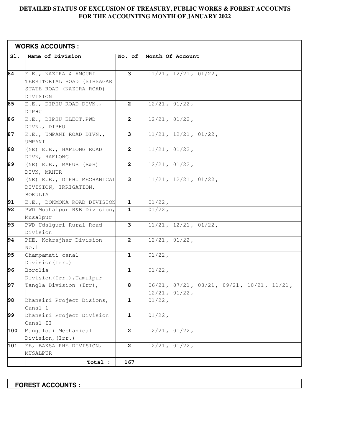|                 | <b>WORKS ACCOUNTS :</b>                                                                     |                |                                                                              |
|-----------------|---------------------------------------------------------------------------------------------|----------------|------------------------------------------------------------------------------|
| SI.             | Name of Division                                                                            | No. of         | Month Of Account                                                             |
| 84              | E.E., NAZIRA & AMGURI<br>TERRITORIAL ROAD (SIBSAGAR<br>STATE ROAD (NAZIRA ROAD)<br>DIVISION | 3              | $11/21$ , $12/21$ , $01/22$ ,                                                |
| 85              | E.E., DIPHU ROAD DIVN.,<br>DIPHU                                                            | $\overline{2}$ | 12/21, 01/22,                                                                |
| 86              | E.E., DIPHU ELECT.PWD<br>DIVN., DIPHU                                                       | $\overline{2}$ | $\overline{12}/21$ , 01/22,                                                  |
| 87              | E.E., UMPANI ROAD DIVN.,<br>UMPANI                                                          | 3              | $11/21$ , $12/21$ , $01/22$ ,                                                |
| 88              | (NE) E.E., HAFLONG ROAD<br>DIVN, HAFLONG                                                    | $\overline{2}$ | 11/21, 01/22,                                                                |
| 89              | (NE) E.E., MAHUR (R&B)<br>DIVN, MAHUR                                                       | $\overline{2}$ | 12/21, 01/22,                                                                |
| 90              | (NE) E.E., DIPHU MECHANICAL<br>DIVISION, IRRIGATION,<br><b>BOKULIA</b>                      | 3              | $11/21$ , $12/21$ , $01/22$ ,                                                |
| 91              | E.E., DOKMOKA ROAD DIVISION                                                                 | $\mathbf{1}$   | $01/22$ ,                                                                    |
| 92              | PWD Mushalpur R&B Division,<br>Musalpur                                                     | 1              | $01/22$ ,                                                                    |
| $\overline{93}$ | PWD Udalguri Rural Road<br>Division                                                         | 3              | $11/21$ , $12/21$ , $01/22$ ,                                                |
| 94              | PHE, Kokrajhar Division<br>No.1                                                             | $\overline{2}$ | 12/21, 01/22,                                                                |
| 95              | Champamati canal<br>Division (Irr.)                                                         | $\mathbf{1}$   | $01/22$ ,                                                                    |
| 96              | Borolia<br>Division (Irr.), Tamulpur                                                        | $\mathbf{1}$   | $01/22$ ,                                                                    |
| 97              | Tangla Division (Irr),                                                                      | 8              | $06/21$ , $07/21$ , $08/21$ , $09/21$ , $10/21$ , $11/21$ ,<br>12/21, 01/22, |
| 98              | Dhansiri Project Disions,<br>Canal-1                                                        | $\mathbf{1}$   | $01/22$ ,                                                                    |
| 99              | Dhansiri Project Division<br>$\texttt{Canall-II}$                                           | $\mathbf{1}$   | $01/22$ ,                                                                    |
| 100             | Mangaldai Mechanical<br>Division, (Irr.)                                                    | $\overline{2}$ | 12/21, 01/22,                                                                |
| 101             | EE, BAKSA PHE DIVISION,<br>MUSALPUR                                                         | $\mathbf{2}$   | 12/21, 01/22,                                                                |
|                 | Total :                                                                                     | 167            |                                                                              |

**FOREST ACCOUNTS :**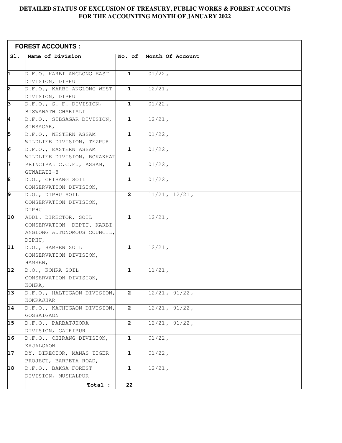|                   | <b>FOREST ACCOUNTS:</b>                    |                |                  |
|-------------------|--------------------------------------------|----------------|------------------|
| S1.               | Name of Division                           | No. of         | Month Of Account |
| 1                 | D.F.O. KARBI ANGLONG EAST                  | $\mathbf{1}$   | $01/22$ ,        |
|                   | DIVISION, DIPHU                            |                |                  |
| 2                 | D.F.O., KARBI ANGLONG WEST                 | $\mathbf{1}$   | $12/21$ ,        |
|                   | DIVISION, DIPHU                            |                |                  |
| 3                 | D.F.O., S. F. DIVISION,                    | $\mathbf{1}$   | $01/22$ ,        |
|                   | BISWANATH CHARIALI                         |                |                  |
| 4                 | D.F.O., SIBSAGAR DIVISION,                 | $\mathbf{1}$   | $12/21$ ,        |
|                   | SIBSAGAR,                                  |                |                  |
| 5                 | D.F.O., WESTERN ASSAM                      | $\mathbf{1}$   | $01/22$ ,        |
|                   | WILDLIFE DIVISION, TEZPUR                  |                |                  |
| 6                 | D.F.O., EASTERN ASSAM                      | $\mathbf{1}$   | $01/22$ ,        |
|                   | WILDLIFE DIVISION, BOKAKHAT                |                |                  |
| 7                 | PRINCIPAL C.C.F., ASSAM,                   | $\mathbf{1}$   | $01/22$ ,        |
|                   | GUWAHATI-8                                 |                |                  |
| 8                 | D.O., CHIRANG SOIL                         | $\mathbf{1}$   | $01/22$ ,        |
| 9                 | CONSERVATION DIVISION,<br>D.O., DIPHU SOIL | $\overline{2}$ | 11/21, 12/21,    |
|                   | CONSERVATION DIVISION,                     |                |                  |
|                   | DIPHU                                      |                |                  |
| 10                | ADDL. DIRECTOR, SOIL                       | $\mathbf{1}$   | $12/21$ ,        |
|                   | CONSERVATION DEPTT. KARBI                  |                |                  |
|                   | ANGLONG AUTONOMOUS COUNCIL,                |                |                  |
|                   | DIPHU,                                     |                |                  |
| 11                | D.O., HAMREN SOIL                          | $\mathbf{1}$   | $12/21$ ,        |
|                   | CONSERVATION DIVISION,                     |                |                  |
|                   | HAMREN,                                    |                |                  |
| $12 \overline{ }$ | D.O., KOHRA SOIL                           | $\mathbf{1}$   | 11/21,           |
|                   | CONSERVATION DIVISION,                     |                |                  |
|                   | KOHRA,                                     |                |                  |
| 13                | D.F.O., HALTUGAON DIVISION,                | 2              | 12/21, 01/22,    |
|                   | KOKRAJHAR                                  |                |                  |
| 14                | D.F.O., KACHUGAON DIVISION,                | $\overline{2}$ | 12/21, 01/22,    |
|                   | GOSSAIGAON                                 |                |                  |
| 15                | D.F.O., PARRATJHORA                        | $\mathbf{2}$   | 12/21, 01/22,    |
|                   | DIVISION, GAURIPUR                         |                |                  |
| 16                | D.F.O., CHIRANG DIVISION,<br>KAJALGAON     | $\mathbf{1}$   | $01/22$ ,        |
| 17                | DY. DIRECTOR, MANAS TIGER                  | $\mathbf{1}$   | $01/22$ ,        |
|                   | PROJECT, BARPETA ROAD,                     |                |                  |
| 18                | D.F.O., BAKSA FOREST                       | $\mathbf{1}$   | $12/21$ ,        |
|                   | DIVISION, MUSHALPUR                        |                |                  |
|                   | Total :                                    | 22             |                  |
|                   |                                            |                |                  |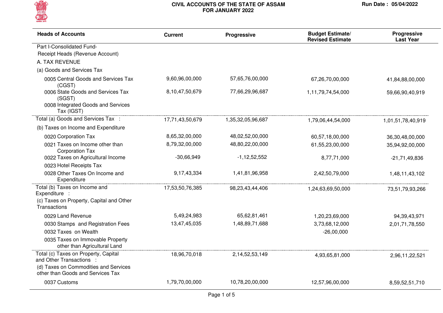

| <b>Heads of Accounts</b>                                                                        | <b>Current</b>  | Progressive        | <b>Budget Estimate/</b><br><b>Revised Estimate</b> | Progressive<br><b>Last Year</b> |
|-------------------------------------------------------------------------------------------------|-----------------|--------------------|----------------------------------------------------|---------------------------------|
| Part I-Consolidated Fund-                                                                       |                 |                    |                                                    |                                 |
| Receipt Heads (Revenue Account)                                                                 |                 |                    |                                                    |                                 |
| A. TAX REVENUE                                                                                  |                 |                    |                                                    |                                 |
| (a) Goods and Services Tax                                                                      |                 |                    |                                                    |                                 |
| 0005 Central Goods and Services Tax<br>(CGST)                                                   | 9,60,96,00,000  | 57,65,76,00,000    | 67,26,70,00,000                                    | 41,84,88,00,000                 |
| 0006 State Goods and Services Tax<br>(SGST)<br>0008 Integrated Goods and Services<br>Tax (IGST) | 8,10,47,50,679  | 77,66,29,96,687    | 1,11,79,74,54,000                                  | 59,66,90,40,919                 |
| Total (a) Goods and Services Tax :                                                              | 17,71,43,50,679 | 1,35,32,05,96,687  | 1,79,06,44,54,000                                  | 1,01,51,78,40,919               |
| (b) Taxes on Income and Expenditure                                                             |                 |                    |                                                    |                                 |
| 0020 Corporation Tax                                                                            | 8,65,32,00,000  | 48,02,52,00,000    | 60,57,18,00,000                                    | 36,30,48,00,000                 |
| 0021 Taxes on Income other than<br><b>Corporation Tax</b>                                       | 8,79,32,00,000  | 48,80,22,00,000    | 61,55,23,00,000                                    | 35,94,92,00,000                 |
| 0022 Taxes on Agricultural Income                                                               | $-30,66,949$    | $-1, 12, 52, 552$  | 8,77,71,000                                        | $-21,71,49,836$                 |
| 0023 Hotel Receipts Tax                                                                         |                 |                    |                                                    |                                 |
| 0028 Other Taxes On Income and<br>Expenditure                                                   | 9,17,43,334     | 1,41,81,96,958     | 2,42,50,79,000                                     | 1,48,11,43,102                  |
| Total (b) Taxes on Income and<br>Expenditure :                                                  | 17,53,50,76,385 | 98,23,43,44,406    | 1,24,63,69,50,000                                  | 73,51,79,93,266                 |
| (c) Taxes on Property, Capital and Other<br><b>Transactions</b>                                 |                 |                    |                                                    |                                 |
| 0029 Land Revenue                                                                               | 5,49,24,983     | 65,62,81,461       | 1,20,23,69,000                                     | 94,39,43,971                    |
| 0030 Stamps and Registration Fees                                                               | 13,47,45,035    | 1,48,89,71,688     | 3,73,68,12,000                                     | 2,01,71,78,550                  |
| 0032 Taxes on Wealth                                                                            |                 |                    | $-26,00,000$                                       |                                 |
| 0035 Taxes on Immovable Property<br>other than Agricultural Land                                |                 |                    |                                                    |                                 |
| Total (c) Taxes on Property, Capital<br>and Other Transactions :                                | 18,96,70,018    | 2, 14, 52, 53, 149 | 4,93,65,81,000                                     | 2,96,11,22,521                  |
| (d) Taxes on Commodities and Services<br>other than Goods and Services Tax                      |                 |                    |                                                    |                                 |
| 0037 Customs                                                                                    | 1,79,70,00,000  | 10,78,20,00,000    | 12,57,96,00,000                                    | 8,59,52,51,710                  |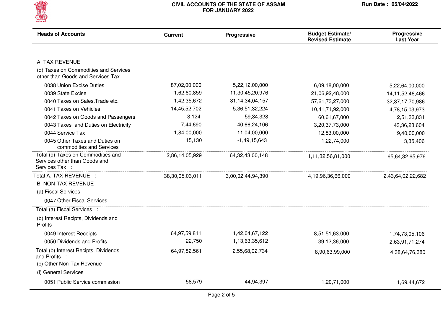

| <b>Heads of Accounts</b>                                                              | <b>Current</b>  | <b>Progressive</b>  | <b>Budget Estimate/</b><br><b>Revised Estimate</b> | Progressive<br><b>Last Year</b> |
|---------------------------------------------------------------------------------------|-----------------|---------------------|----------------------------------------------------|---------------------------------|
|                                                                                       |                 |                     |                                                    |                                 |
| A. TAX REVENUE                                                                        |                 |                     |                                                    |                                 |
| (d) Taxes on Commodities and Services<br>other than Goods and Services Tax            |                 |                     |                                                    |                                 |
| 0038 Union Excise Duties                                                              | 87,02,00,000    | 5,22,12,00,000      | 6,09,18,00,000                                     | 5,22,64,00,000                  |
| 0039 State Excise                                                                     | 1,62,60,859     | 11,30,45,20,976     | 21,06,92,48,000                                    | 14, 11, 52, 46, 466             |
| 0040 Taxes on Sales, Trade etc.                                                       | 1,42,35,672     | 31, 14, 34, 04, 157 | 57,21,73,27,000                                    | 32, 37, 17, 70, 986             |
| 0041 Taxes on Vehicles                                                                | 14,45,52,702    | 5,36,51,32,224      | 10,41,71,92,000                                    | 4,78,15,03,973                  |
| 0042 Taxes on Goods and Passengers                                                    | $-3,124$        | 59,34,328           | 60,61,67,000                                       | 2,51,33,831                     |
| 0043 Taxes and Duties on Electricity                                                  | 7,44,690        | 40,66,24,106        | 3,20,37,73,000                                     | 43,36,23,604                    |
| 0044 Service Tax                                                                      | 1,84,00,000     | 11,04,00,000        | 12,83,00,000                                       | 9,40,00,000                     |
| 0045 Other Taxes and Duties on<br>commodities and Services                            | 15,130          | $-1,49,15,643$      | 1,22,74,000                                        | 3,35,406                        |
| Total (d) Taxes on Commodities and<br>Services other than Goods and<br>Services Tax : | 2,86,14,05,929  | 64, 32, 43, 00, 148 | 1,11,32,56,81,000                                  | 65,64,32,65,976                 |
| Total A. TAX REVENUE :                                                                | 38,30,05,03,011 | 3,00,02,44,94,390   | 4,19,96,36,66,000                                  | 2,43,64,02,22,682               |
| <b>B. NON-TAX REVENUE</b>                                                             |                 |                     |                                                    |                                 |
| (a) Fiscal Services                                                                   |                 |                     |                                                    |                                 |
| 0047 Other Fiscal Services                                                            |                 |                     |                                                    |                                 |
| Total (a) Fiscal Services :                                                           |                 |                     |                                                    |                                 |
| (b) Interest Recipts, Dividends and<br>Profits                                        |                 |                     |                                                    |                                 |
| 0049 Interest Receipts                                                                | 64,97,59,811    | 1,42,04,67,122      | 8,51,51,63,000                                     | 1,74,73,05,106                  |
| 0050 Dividends and Profits                                                            | 22,750          | 1,13,63,35,612      | 39,12,36,000                                       | 2,63,91,71,274                  |
| Total (b) Interest Recipts, Dividends<br>and Profits :                                | 64,97,82,561    | 2,55,68,02,734      | 8,90,63,99,000                                     | 4,38,64,76,380                  |
| (c) Other Non-Tax Revenue                                                             |                 |                     |                                                    |                                 |
| (i) General Services                                                                  |                 |                     |                                                    |                                 |
| 0051 Public Service commission                                                        | 58,579          | 44,94,397           | 1,20,71,000                                        | 1,69,44,672                     |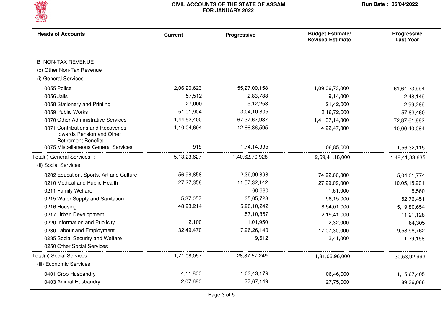

| <b>Heads of Accounts</b>                                                                     | <b>Current</b> | <b>Progressive</b> | <b>Budget Estimate/</b><br><b>Revised Estimate</b> | Progressive<br><b>Last Year</b> |
|----------------------------------------------------------------------------------------------|----------------|--------------------|----------------------------------------------------|---------------------------------|
|                                                                                              |                |                    |                                                    |                                 |
| <b>B. NON-TAX REVENUE</b>                                                                    |                |                    |                                                    |                                 |
| (c) Other Non-Tax Revenue                                                                    |                |                    |                                                    |                                 |
| (i) General Services                                                                         |                |                    |                                                    |                                 |
| 0055 Police                                                                                  | 2,06,20,623    | 55,27,00,158       | 1,09,06,73,000                                     | 61,64,23,994                    |
| 0056 Jails                                                                                   | 57,512         | 2,83,788           | 9,14,000                                           | 2,48,149                        |
| 0058 Stationery and Printing                                                                 | 27,000         | 5,12,253           | 21,42,000                                          | 2,99,269                        |
| 0059 Public Works                                                                            | 51,01,904      | 3,04,10,805        | 2,16,72,000                                        | 57,83,460                       |
| 0070 Other Administrative Services                                                           | 1,44,52,400    | 67, 37, 67, 937    | 1,41,37,14,000                                     | 72,87,61,882                    |
| 0071 Contributions and Recoveries<br>towards Pension and Other<br><b>Retirement Benefits</b> | 1,10,04,694    | 12,66,86,595       | 14,22,47,000                                       | 10,00,40,094                    |
| 0075 Miscellaneous General Services                                                          | 915            | 1,74,14,995        | 1,06,85,000                                        | 1,56,32,115                     |
| Total(i) General Services :                                                                  | 5,13,23,627    | 1,40,62,70,928     | 2,69,41,18,000                                     | 1,48,41,33,635                  |
| (ii) Social Services                                                                         |                |                    |                                                    |                                 |
| 0202 Education, Sports, Art and Culture                                                      | 56,98,858      | 2,39,99,898        | 74,92,66,000                                       | 5,04,01,774                     |
| 0210 Medical and Public Health                                                               | 27,27,358      | 11,57,32,142       | 27,29,09,000                                       | 10,05,15,201                    |
| 0211 Family Welfare                                                                          |                | 60,680             | 1,61,000                                           | 5,560                           |
| 0215 Water Supply and Sanitation                                                             | 5,37,057       | 35,05,728          | 98,15,000                                          | 52,76,451                       |
| 0216 Housing                                                                                 | 48,93,214      | 5,20,10,242        | 8,54,01,000                                        | 5,19,80,654                     |
| 0217 Urban Development                                                                       |                | 1,57,10,857        | 2,19,41,000                                        | 11,21,128                       |
| 0220 Information and Publicity                                                               | 2,100          | 1,01,950           | 2,32,000                                           | 64,305                          |
| 0230 Labour and Employment                                                                   | 32,49,470      | 7,26,26,140        | 17,07,30,000                                       | 9,58,98,762                     |
| 0235 Social Security and Welfare                                                             |                | 9,612              | 2,41,000                                           | 1,29,158                        |
| 0250 Other Social Services                                                                   |                |                    |                                                    |                                 |
| Total(ii) Social Services :                                                                  | 1,71,08,057    | 28, 37, 57, 249    | 1,31,06,96,000                                     | 30,53,92,993                    |
| (iii) Economic Services                                                                      |                |                    |                                                    |                                 |
| 0401 Crop Husbandry                                                                          | 4,11,800       | 1,03,43,179        | 1,06,46,000                                        | 1,15,67,405                     |
| 0403 Animal Husbandry                                                                        | 2,07,680       | 77,67,149          | 1,27,75,000                                        | 89,36,066                       |
|                                                                                              |                |                    |                                                    |                                 |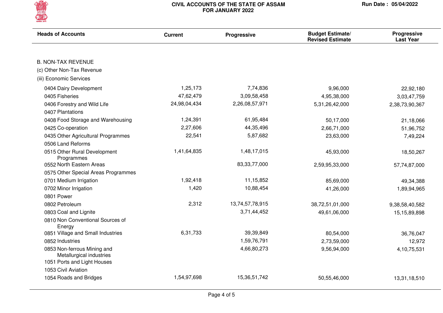

| <b>Heads of Accounts</b>                                | <b>Current</b> | Progressive     | <b>Budget Estimate/</b><br><b>Revised Estimate</b> | Progressive<br><b>Last Year</b> |
|---------------------------------------------------------|----------------|-----------------|----------------------------------------------------|---------------------------------|
| <b>B. NON-TAX REVENUE</b>                               |                |                 |                                                    |                                 |
| (c) Other Non-Tax Revenue                               |                |                 |                                                    |                                 |
|                                                         |                |                 |                                                    |                                 |
| (iii) Economic Services                                 |                |                 |                                                    |                                 |
| 0404 Dairy Development                                  | 1,25,173       | 7,74,836        | 9,96,000                                           | 22,92,180                       |
| 0405 Fisheries                                          | 47,62,479      | 3,09,58,458     | 4,95,38,000                                        | 3,03,47,759                     |
| 0406 Forestry and Wild Life                             | 24,98,04,434   | 2,26,08,57,971  | 5,31,26,42,000                                     | 2,38,73,90,367                  |
| 0407 Plantations                                        |                |                 |                                                    |                                 |
| 0408 Food Storage and Warehousing                       | 1,24,391       | 61,95,484       | 50,17,000                                          | 21,18,066                       |
| 0425 Co-operation                                       | 2,27,606       | 44,35,496       | 2,66,71,000                                        | 51,96,752                       |
| 0435 Other Agricultural Programmes                      | 22,541         | 5,87,682        | 23,63,000                                          | 7,49,224                        |
| 0506 Land Reforms                                       |                |                 |                                                    |                                 |
| 0515 Other Rural Development<br>Programmes              | 1,41,64,835    | 1,48,17,015     | 45,93,000                                          | 18,50,267                       |
| 0552 North Eastern Areas                                |                | 83, 33, 77, 000 | 2,59,95,33,000                                     | 57,74,87,000                    |
| 0575 Other Special Areas Programmes                     |                |                 |                                                    |                                 |
| 0701 Medium Irrigation                                  | 1,92,418       | 11,15,852       | 85,69,000                                          | 49,34,388                       |
| 0702 Minor Irrigation                                   | 1,420          | 10,88,454       | 41,26,000                                          | 1,89,94,965                     |
| 0801 Power                                              |                |                 |                                                    |                                 |
| 0802 Petroleum                                          | 2,312          | 13,74,57,78,915 | 38,72,51,01,000                                    | 9,38,58,40,582                  |
| 0803 Coal and Lignite                                   |                | 3,71,44,452     | 49,61,06,000                                       | 15, 15, 89, 898                 |
| 0810 Non Conventional Sources of<br>Energy              |                |                 |                                                    |                                 |
| 0851 Village and Small Industries                       | 6,31,733       | 39,39,849       | 80,54,000                                          | 36,76,047                       |
| 0852 Industries                                         |                | 1,59,76,791     | 2,73,59,000                                        | 12,972                          |
| 0853 Non-ferrous Mining and<br>Metallurgical industries |                | 4,66,80,273     | 9,56,94,000                                        | 4, 10, 75, 531                  |
| 1051 Ports and Light Houses                             |                |                 |                                                    |                                 |
| 1053 Civil Aviation                                     |                |                 |                                                    |                                 |
| 1054 Roads and Bridges                                  | 1,54,97,698    | 15, 36, 51, 742 | 50,55,46,000                                       | 13,31,18,510                    |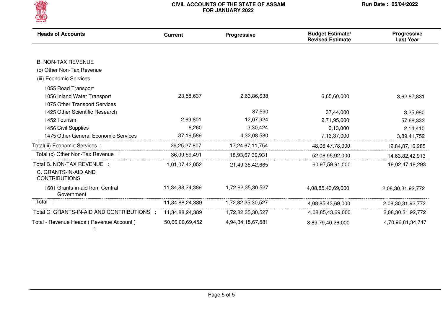

| <b>Heads of Accounts</b>                      | <b>Current</b>  | Progressive       | <b>Budget Estimate/</b><br><b>Revised Estimate</b> | Progressive<br><b>Last Year</b> |
|-----------------------------------------------|-----------------|-------------------|----------------------------------------------------|---------------------------------|
|                                               |                 |                   |                                                    |                                 |
| <b>B. NON-TAX REVENUE</b>                     |                 |                   |                                                    |                                 |
| (c) Other Non-Tax Revenue                     |                 |                   |                                                    |                                 |
| (iii) Economic Services                       |                 |                   |                                                    |                                 |
| 1055 Road Transport                           |                 |                   |                                                    |                                 |
| 1056 Inland Water Transport                   | 23,58,637       | 2,63,86,638       | 6,65,60,000                                        | 3,62,87,831                     |
| 1075 Other Transport Services                 |                 |                   |                                                    |                                 |
| 1425 Other Scientific Research                |                 | 87,590            | 37,44,000                                          | 3,25,980                        |
| 1452 Tourism                                  | 2,69,801        | 12,07,924         | 2,71,95,000                                        | 57,68,333                       |
| 1456 Civil Supplies                           | 6,260           | 3,30,424          | 6,13,000                                           | 2,14,410                        |
| 1475 Other General Economic Services          | 37,16,589       | 4,32,08,580       | 7,13,37,000                                        | 3,89,41,752                     |
| Total(iii) Economic Services:                 | 29,25,27,807    | 17,24,67,11,754   | 48,06,47,78,000                                    | 12,84,87,16,285                 |
| Total (c) Other Non-Tax Revenue :             | 36,09,59,491    | 18,93,67,39,931   | 52,06,95,92,000                                    | 14,63,82,42,913                 |
| Total B. NON-TAX REVENUE :                    | 1,01,07,42,052  | 21,49,35,42,665   | 60,97,59,91,000                                    | 19,02,47,19,293                 |
| C. GRANTS-IN-AID AND<br><b>CONTRIBUTIONS</b>  |                 |                   |                                                    |                                 |
| 1601 Grants-in-aid from Central<br>Government | 11,34,88,24,389 | 1,72,82,35,30,527 | 4,08,85,43,69,000                                  | 2,08,30,31,92,772               |
| Total                                         | 11,34,88,24,389 | 1,72,82,35,30,527 | 4,08,85,43,69,000                                  | 2,08,30,31,92,772               |
| Total C. GRANTS-IN-AID AND CONTRIBUTIONS :    | 11,34,88,24,389 | 1,72,82,35,30,527 | 4,08,85,43,69,000                                  | 2,08,30,31,92,772               |
| Total - Revenue Heads (Revenue Account)       | 50,66,00,69,452 | 4,94,34,15,67,581 | 8,89,79,40,26,000                                  | 4,70,96,81,34,747               |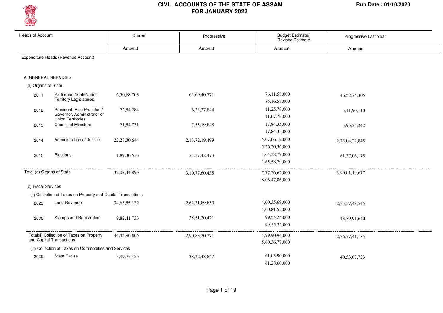

| <b>Heads of Account</b>   |                                                               | Current         | Progressive        | Budget Estimate/<br><b>Revised Estimate</b> | Progressive Last Year |
|---------------------------|---------------------------------------------------------------|-----------------|--------------------|---------------------------------------------|-----------------------|
|                           |                                                               | Amount          | Amount             | Amount                                      | Amount                |
|                           | Expenditure Heads (Revenue Account)                           |                 |                    |                                             |                       |
|                           |                                                               |                 |                    |                                             |                       |
| A. GENERAL SERVICES       |                                                               |                 |                    |                                             |                       |
| (a) Organs of State       |                                                               |                 |                    |                                             |                       |
| 2011                      | Parliament/State/Union                                        | 6,50,68,703     | 61,69,40,771       | 76,11,58,000                                | 46, 52, 75, 305       |
|                           | <b>Territory Legislatures</b>                                 |                 |                    | 85,16,58,000                                |                       |
| 2012                      | President, Vice President/                                    | 72,54,284       | 6,23,37,844        | 11,25,78,000                                | 5,11,90,110           |
|                           | Governor, Administrator of<br><b>Union Territories</b>        |                 |                    | 11,67,78,000                                |                       |
| 2013                      | <b>Council of Ministers</b>                                   | 71,54,731       | 7,55,19,848        | 17,84,35,000                                | 3,95,25,242           |
|                           |                                                               |                 |                    | 17,84,35,000                                |                       |
| 2014                      | Administration of Justice                                     | 22, 23, 30, 644 | 2, 13, 72, 19, 499 | 5,07,66,12,000                              | 2,73,04,22,845        |
|                           |                                                               |                 |                    | 5,26,20,36,000                              |                       |
| 2015                      | Elections                                                     | 1,89,36,533     | 21,57,42,473       | 1,64,38,79,000                              | 61, 37, 06, 175       |
|                           |                                                               |                 |                    | 1,65,58,79,000                              |                       |
| Total (a) Organs of State |                                                               | 32,07,44,895    | 3, 10, 77, 60, 435 | 7,77,26,62,000                              | 3,90,01,19,677        |
|                           |                                                               |                 |                    | 8,06,47,86,000                              |                       |
| (b) Fiscal Services       |                                                               |                 |                    |                                             |                       |
|                           | (ii) Collection of Taxes on Property and Capital Transactions |                 |                    |                                             |                       |
| 2029                      | <b>Land Revenue</b>                                           | 34, 63, 55, 132 | 2,62,31,89,850     | 4,00,35,69,000                              | 2,33,37,49,545        |
|                           |                                                               |                 |                    | 4,60,81,52,000                              |                       |
| 2030                      | Stamps and Registration                                       | 9,82,41,733     | 28,51,30,421       | 99,55,25,000                                | 43,39,91,640          |
|                           |                                                               |                 |                    | 99,55,25,000                                |                       |
|                           | Total(ii) Collection of Taxes on Property                     | 44, 45, 96, 865 | 2,90,83,20,271     | 4,99,90,94,000                              | 2,76,77,41,185        |
| and Capital Transactions  |                                                               |                 |                    | 5,60,36,77,000                              |                       |
|                           | (iii) Collection of Taxes on Commodities and Services         |                 |                    |                                             |                       |
| 2039                      | <b>State Excise</b>                                           | 3,99,77,455     | 38, 22, 48, 847    | 61,03,90,000<br>61.28.60.000                | 40,53,07,723          |
|                           |                                                               |                 |                    |                                             |                       |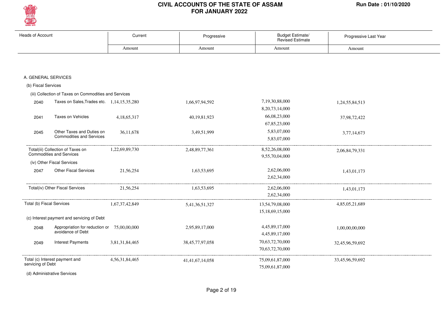

| <b>Heads of Account</b>                             |                                                                      | Current        | Progressive         | <b>Budget Estimate/</b><br>Revised Estimate | Progressive Last Year |
|-----------------------------------------------------|----------------------------------------------------------------------|----------------|---------------------|---------------------------------------------|-----------------------|
|                                                     |                                                                      | Amount         | Amount              | Amount                                      | Amount                |
|                                                     |                                                                      |                |                     |                                             |                       |
| A. GENERAL SERVICES                                 |                                                                      |                |                     |                                             |                       |
| (b) Fiscal Services                                 |                                                                      |                |                     |                                             |                       |
|                                                     | (iii) Collection of Taxes on Commodities and Services                |                |                     |                                             |                       |
| 2040                                                | Taxes on Sales, Trades etc. 1, 14, 15, 35, 280                       |                | 1,66,97,94,592      | 7,19,30,88,000<br>8, 20, 73, 14, 000        | 1,24,55,84,513        |
| 2041                                                | <b>Taxes on Vehicles</b>                                             | 4,18,65,317    | 40,19,81,923        | 66,08,23,000<br>67,85,23,000                | 37,98,72,422          |
| 2045                                                | Other Taxes and Duties on<br><b>Commodities and Services</b>         | 36,11,678      | 3,49,51,999         | 5,83,07,000<br>5,83,07,000                  | 3,77,14,673           |
|                                                     | Total(iii) Collection of Taxes on<br><b>Commodities and Services</b> | 1,22,69,89,730 | 2,48,89,77,361      | 8,52,26,08,000<br>9,55,70,04,000            | 2,06,84,79,331        |
|                                                     | (iv) Other Fiscal Services                                           |                |                     |                                             |                       |
| 2047                                                | <b>Other Fiscal Services</b>                                         | 21,56,254      | 1,63,53,695         | 2,62,06,000<br>2,62,34,000                  | 1,43,01,173           |
|                                                     | Total(iv) Other Fiscal Services                                      | 21,56,254      | 1,63,53,695         | 2,62,06,000<br>2,62,34,000                  | 1,43,01,173           |
| Total (b) Fiscal Services                           |                                                                      | 1,67,37,42,849 | 5,41,36,51,327      | 13,54,79,08,000<br>15,18,69,15,000          | 4,85,05,21,689        |
|                                                     | (c) Interest payment and servicing of Debt                           |                |                     |                                             |                       |
| 2048                                                | Appropriation for reduction or 75,00,00,000<br>avoidance of Debt     |                | 2,95,89,17,000      | 4,45,89,17,000<br>4,45,89,17,000            | 1,00,00,00,000        |
| 2049                                                | <b>Interest Payments</b>                                             | 3,81,31,84,465 | 38, 45, 77, 97, 058 | 70,63,72,70,000<br>70,63,72,70,000          | 32,45,96,59,692       |
| Total (c) Interest payment and<br>servicing of Debt |                                                                      | 4,56,31,84,465 | 41,41,67,14,058     | 75,09,61,87,000<br>75,09,61,87,000          | 33,45,96,59,692       |

(d) Administrative Services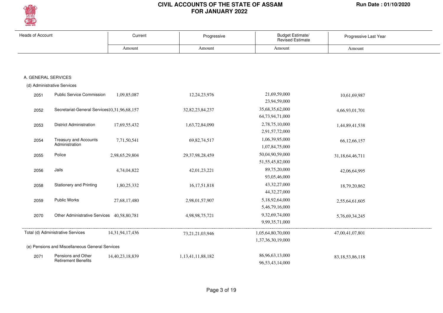

| <b>Heads of Account</b> |                                                  | Current             | Progressive         | <b>Budget Estimate/</b><br><b>Revised Estimate</b> | Progressive Last Year |  |
|-------------------------|--------------------------------------------------|---------------------|---------------------|----------------------------------------------------|-----------------------|--|
|                         |                                                  | Amount              | Amount              | Amount                                             | Amount                |  |
|                         |                                                  |                     |                     |                                                    |                       |  |
|                         |                                                  |                     |                     |                                                    |                       |  |
|                         | A. GENERAL SERVICES                              |                     |                     |                                                    |                       |  |
|                         | (d) Administrative Services                      |                     |                     |                                                    |                       |  |
| 2051                    | <b>Public Service Commission</b>                 | 1,09,85,087         | 12,24,23,976        | 21,69,59,000                                       | 10,61,69,987          |  |
|                         |                                                  |                     |                     | 23,94,59,000                                       |                       |  |
| 2052                    | Secretariat-General Services10,31,96,68,157      |                     | 32, 82, 23, 84, 237 | 35,68,35,62,000                                    | 4,66,93,01,701        |  |
|                         |                                                  |                     |                     | 64,73,94,71,000                                    |                       |  |
| 2053                    | <b>District Administration</b>                   | 17,69,55,432        | 1,63,72,84,090      | 2,78,75,10,000                                     | 1,44,89,41,538        |  |
|                         |                                                  |                     |                     | 2,91,57,72,000                                     |                       |  |
| 2054                    | <b>Treasury and Accounts</b><br>Administration   | 7,71,50,541         | 69, 82, 74, 517     | 1,06,39,95,000                                     | 66, 12, 66, 157       |  |
|                         |                                                  |                     |                     | 1,07,84,75,000                                     |                       |  |
| 2055                    | Police                                           | 2,98,65,29,804      | 29, 37, 98, 28, 459 | 50,04,90,59,000                                    | 31,18,64,46,711       |  |
|                         |                                                  |                     |                     | 51,55,45,82,000                                    |                       |  |
| 2056                    | Jails                                            | 4,74,04,822         | 42,01,23,221        | 89,75,20,000                                       | 42,06,64,995          |  |
|                         |                                                  |                     |                     | 93,05,46,000                                       |                       |  |
| 2058                    | <b>Stationery and Printing</b>                   | 1,80,25,332         | 16, 17, 51, 818     | 43, 32, 27, 000                                    | 18,79,20,862          |  |
|                         |                                                  |                     |                     | 44, 32, 27, 000                                    |                       |  |
| 2059                    | <b>Public Works</b>                              | 27,68,17,480        | 2,98,01,57,907      | 5,18,92,64,000                                     | 2,55,64,61,605        |  |
|                         |                                                  |                     |                     | 5,46,79,16,000                                     |                       |  |
| 2070                    | Other Administrative Services 40,58,80,781       |                     | 4,98,98,75,721      | 9,32,69,74,000<br>9,99,35,71,000                   | 5,76,69,34,245        |  |
|                         |                                                  |                     |                     |                                                    |                       |  |
|                         | Total (d) Administrative Services                | 14, 31, 94, 17, 436 | 73, 21, 21, 03, 946 | 1,05,64,80,70,000                                  | 47,00,41,07,801       |  |
|                         |                                                  |                     |                     | 1,37,36,30,19,000                                  |                       |  |
|                         | (e) Pensions and Miscellaneous General Services  |                     |                     |                                                    |                       |  |
| 2071                    | Pensions and Other<br><b>Retirement Benefits</b> | 14,40,23,18,839     | 1,13,41,11,88,182   | 86,96,63,13,000                                    | 83, 18, 53, 86, 118   |  |
|                         |                                                  |                     |                     | 96,53,43,14,000                                    |                       |  |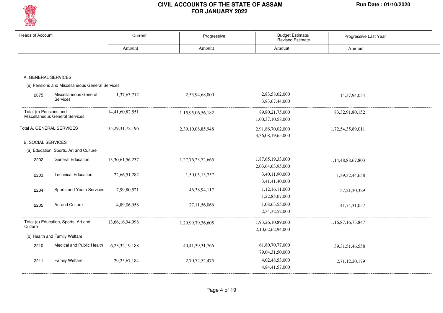

| <b>Heads of Account</b>                                  |                                                 | Current             | Progressive       | Budget Estimate/<br>Revised Estimate     | Progressive Last Year |
|----------------------------------------------------------|-------------------------------------------------|---------------------|-------------------|------------------------------------------|-----------------------|
|                                                          |                                                 | Amount              | Amount            | Amount                                   | Amount                |
|                                                          |                                                 |                     |                   |                                          |                       |
| A. GENERAL SERVICES                                      |                                                 |                     |                   |                                          |                       |
|                                                          | (e) Pensions and Miscellaneous General Services |                     |                   |                                          |                       |
| 2075                                                     | Miscellaneous General<br>Services               | 1,37,63,712         | 2,53,94,68,000    | 2,83,58,62,000<br>3,83,67,44,000         | 14,37,94,034          |
| Total (e) Pensions and<br>Miscellaneous General Services |                                                 | 14,41,60,82,551     | 1,15,95,06,56,182 | 89, 80, 21, 75, 000<br>1,00,37,10,58,000 | 83, 32, 91, 80, 152   |
|                                                          | Total A. GENERAL SERVICES                       | 35, 29, 31, 72, 196 | 2,39,10,08,85,948 | 2,91,86,70,02,000<br>3,36,08,19,65,000   | 1,72,54,35,89,011     |
| <b>B. SOCIAL SERVICES</b>                                |                                                 |                     |                   |                                          |                       |
|                                                          | (a) Education, Sports, Art and Culture          |                     |                   |                                          |                       |
| 2202                                                     | <b>General Education</b>                        | 13,30,61,56,237     | 1,27,76,23,72,665 | 1,87,65,19,33,000<br>2,03,64,03,95,000   | 1,14,48,88,67,803     |
| 2203                                                     | <b>Technical Education</b>                      | 22,66,51,282        | 1,50,05,13,757    | 3,40,11,90,000<br>3,41,41,40,000         | 1,39,32,44,658        |
| 2204                                                     | Sports and Youth Services                       | 7,99,80,521         | 46, 38, 94, 117   | 1,12,16,11,000<br>1,22,85,07,000         | 57, 21, 30, 329       |
| 2205                                                     | Art and Culture                                 | 4,89,06,958         | 27,11,56,066      | 1,08,63,55,000<br>2,34,32,52,000         | 41,74,31,057          |
| Culture                                                  | Total (a) Education, Sports, Art and            | 13,66,16,94,998     | 1,29,99,79,36,605 | 1,93,26,10,89,000<br>2,10,62,62,94,000   | 1,16,87,16,73,847     |
|                                                          | (b) Health and Family Welfare                   |                     |                   |                                          |                       |
| 2210                                                     | Medical and Public Health                       | 6,23,32,19,188      | 40,41,39,31,766   | 61,80,70,77,000<br>79,04,31,50,000       | 39, 31, 51, 46, 558   |
| 2211                                                     | <b>Family Welfare</b>                           | 29, 25, 67, 184     | 2,70,72,52,475    | 4,02,48,53,000<br>4,84,41,57,000         | 2,71,12,20,179        |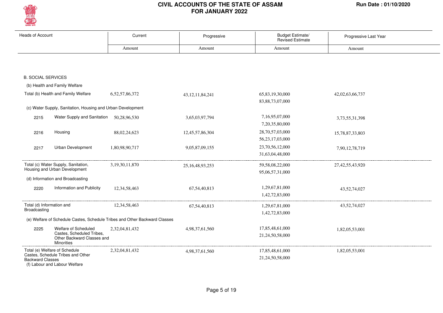

| <b>Heads of Account</b>   |                                                                              | Current                                                                    | Progressive         | <b>Budget Estimate/</b><br><b>Revised Estimate</b> | Progressive Last Year |
|---------------------------|------------------------------------------------------------------------------|----------------------------------------------------------------------------|---------------------|----------------------------------------------------|-----------------------|
|                           |                                                                              | Amount                                                                     | Amount              | Amount                                             | Amount                |
|                           |                                                                              |                                                                            |                     |                                                    |                       |
|                           |                                                                              |                                                                            |                     |                                                    |                       |
| <b>B. SOCIAL SERVICES</b> |                                                                              |                                                                            |                     |                                                    |                       |
|                           | (b) Health and Family Welfare                                                |                                                                            |                     |                                                    |                       |
|                           | Total (b) Health and Family Welfare                                          | 6,52,57,86,372                                                             | 43, 12, 11, 84, 241 | 65,83,19,30,000                                    | 42,02,63,66,737       |
|                           |                                                                              |                                                                            |                     | 83, 88, 73, 07, 000                                |                       |
|                           | (c) Water Supply, Sanitation, Housing and Urban Development                  |                                                                            |                     |                                                    |                       |
| 2215                      | Water Supply and Sanitation                                                  | 50,28,96,530                                                               | 3,65,03,97,794      | 7,16,95,07,000                                     | 3,73,55,31,398        |
|                           |                                                                              |                                                                            |                     | 7,20,35,80,000                                     |                       |
| 2216                      | Housing                                                                      | 88,02,24,623                                                               | 12,45,57,86,304     | 28,70,57,03,000                                    | 15,78,87,33,803       |
|                           |                                                                              |                                                                            |                     | 56, 23, 17, 03, 000                                |                       |
| 2217                      | <b>Urban Development</b>                                                     | 1,80,98,90,717                                                             | 9,05,87,09,155      | 23,70,56,12,000                                    | 7,90,12,78,719        |
|                           |                                                                              |                                                                            |                     | 31,63,04,48,000                                    |                       |
|                           | Total (c) Water Supply, Sanitation,                                          | 3,19,30,11,870                                                             | 25, 16, 48, 93, 253 | 59, 58, 08, 22, 000                                | 27, 42, 55, 43, 920   |
|                           | Housing and Urban Development                                                |                                                                            |                     | 95,06,57,31,000                                    |                       |
|                           | (d) Information and Broadcasting                                             |                                                                            |                     |                                                    |                       |
| 2220                      | Information and Publicity                                                    | 12,34,58,463                                                               | 67, 54, 40, 813     | 1,29,67,81,000                                     | 43,52,74,027          |
|                           |                                                                              |                                                                            |                     | 1,42,72,83,000                                     |                       |
| Total (d) Information and |                                                                              | 12, 34, 58, 463                                                            | 67, 54, 40, 813     | 1,29,67,81,000                                     | 43,52,74,027          |
| Broadcasting              |                                                                              |                                                                            |                     | 1,42,72,83,000                                     |                       |
|                           |                                                                              | (e) Welfare of Schedule Castes, Schedule Tribes and Other Backward Classes |                     |                                                    |                       |
| 2225                      | Welfare of Scheduled                                                         | 2,32,04,81,432                                                             | 4,98,37,61,560      | 17,85,48,61,000                                    | 1,82,05,53,001        |
|                           | Castes, Scheduled Tribes,<br>Other Backward Classes and<br><b>Minorities</b> |                                                                            |                     | 21,24,50,58,000                                    |                       |
|                           | Total (e) Welfare of Schedule                                                | 2,32,04,81,432                                                             | 4,98,37,61,560      | 17,85,48,61,000                                    | 1,82,05,53,001        |
| <b>Backward Classes</b>   | Castes, Schedule Tribes and Other<br>(f) Labour and Labour Welfare           |                                                                            |                     | 21,24,50,58,000                                    |                       |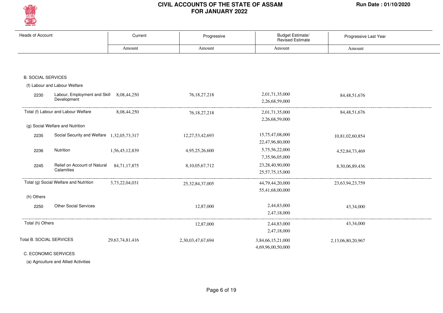

| <b>Heads of Account</b>   |                                                         | Current             | Progressive         | Budget Estimate/<br><b>Revised Estimate</b> | Progressive Last Year |  |
|---------------------------|---------------------------------------------------------|---------------------|---------------------|---------------------------------------------|-----------------------|--|
|                           |                                                         | Amount              | Amount              | Amount                                      | Amount                |  |
|                           |                                                         |                     |                     |                                             |                       |  |
| <b>B. SOCIAL SERVICES</b> |                                                         |                     |                     |                                             |                       |  |
|                           | (f) Labour and Labour Welfare                           |                     |                     |                                             |                       |  |
| 2230                      | Labour, Employment and Skill 8,08,44,250<br>Development |                     | 76, 18, 27, 218     | 2,01,71,35,000<br>2,26,68,59,000            | 84, 48, 51, 676       |  |
|                           | Total (f) Labour and Labour Welfare                     | 8,08,44,250         | 76, 18, 27, 218     | 2,01,71,35,000<br>2,26,68,59,000            | 84, 48, 51, 676       |  |
|                           | (g) Social Welfare and Nutrition                        |                     |                     |                                             |                       |  |
| 2235                      | Social Security and Welfare 1,32,05,73,317              |                     | 12,27,53,42,693     | 15,75,47,08,000<br>22,47,96,80,000          | 10,81,02,60,854       |  |
| 2236                      | Nutrition                                               | 1,56,45,12,839      | 4,95,25,26,600      | 5,75,56,22,000<br>7,35,96,05,000            | 4,52,84,73,469        |  |
| 2245                      | Relief on Account of Natural<br>Calamities              | 84,71,17,875        | 8,10,05,67,712      | 23,28,40,90,000<br>25, 57, 75, 15, 000      | 8,30,06,89,436        |  |
|                           | Total (g) Social Welfare and Nutrition                  | 3,73,22,04,031      | 25, 32, 84, 37, 005 | 44,79,44,20,000<br>55,41,68,00,000          | 23, 63, 94, 23, 759   |  |
| (h) Others                |                                                         |                     |                     |                                             |                       |  |
| 2250                      | <b>Other Social Services</b>                            |                     | 12,87,000           | 2,44,83,000<br>2,47,18,000                  | 43,34,000             |  |
| Total (h) Others          |                                                         |                     | 12,87,000           | 2,44,83,000<br>2,47,18,000                  | 43,34,000             |  |
| Total B. SOCIAL SERVICES  |                                                         | 29, 63, 74, 81, 416 | 2,30,03,47,67,694   | 3,84,66,15,21,000<br>4,69,96,00,50,000      | 2,13,06,80,20,967     |  |

C. ECONOMIC SERVICES

(a) Agriculture and Allied Activities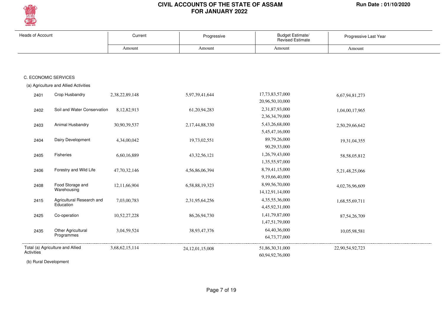

| <b>Heads of Account</b> |                                        | Current        | Progressive         | Budget Estimate/<br><b>Revised Estimate</b> | Progressive Last Year |
|-------------------------|----------------------------------------|----------------|---------------------|---------------------------------------------|-----------------------|
|                         |                                        | Amount         | Amount              | Amount                                      | Amount                |
|                         |                                        |                |                     |                                             |                       |
|                         | C. ECONOMIC SERVICES                   |                |                     |                                             |                       |
|                         | (a) Agriculture and Allied Activities  |                |                     |                                             |                       |
| 2401                    | Crop Husbandry                         | 2,38,22,89,148 | 5,97,39,41,644      | 17,73,83,57,000<br>20,96,50,10,000          | 6,67,94,81,273        |
| 2402                    | Soil and Water Conservation            | 8,12,82,913    | 61,20,94,283        | 2,31,87,93,000<br>2,36,34,79,000            | 1,04,00,17,965        |
| 2403                    | Animal Husbandry                       | 30,90,39,537   | 2,17,44,88,330      | 5,43,26,68,000<br>5,45,47,16,000            | 2,50,29,66,642        |
| 2404                    | Dairy Development                      | 4,34,00,042    | 19,73,02,551        | 89,79,26,000<br>90,29,33,000                | 19,31,04,355          |
| 2405                    | Fisheries                              | 6,60,16,889    | 43, 32, 56, 121     | 1,26,79,43,000<br>1,35,55,97,000            | 58, 58, 05, 812       |
| 2406                    | Forestry and Wild Life                 | 47,70,32,146   | 4,56,86,06,394      | 8,79,41,15,000<br>9,19,66,40,000            | 5,21,48,25,066        |
| 2408                    | Food Storage and<br>Warehousing        | 12,11,66,904   | 6,58,88,19,323      | 8,99,56,70,000<br>14, 12, 91, 14, 000       | 4,02,76,96,609        |
| 2415                    | Agricultural Research and<br>Education | 7,03,00,783    | 2,31,95,64,256      | 4,35,55,36,000<br>4,45,92,31,000            | 1,68,55,69,711        |
| 2425                    | Co-operation                           | 10,52,27,228   | 86, 26, 94, 730     | 1,41,79,87,000<br>1,47,51,79,000            | 87, 54, 26, 709       |
| 2435                    | Other Agricultural<br>Programmes       | 3,04,59,524    | 38,93,47,376        | 64,40,36,000<br>64,73,77,000                | 10,05,98,581          |
| Activities              | Total (a) Agriculture and Allied       | 3,68,62,15,114 | 24, 12, 01, 15, 008 | 51,86,30,31,000<br>60,94,92,76,000          | 22,90,54,92,723       |

(b) Rural Development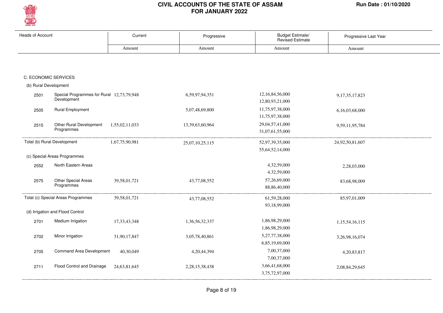

| <b>Heads of Account</b> |                                                          | Current         | Progressive     | Budget Estimate/<br><b>Revised Estimate</b> | Progressive Last Year |
|-------------------------|----------------------------------------------------------|-----------------|-----------------|---------------------------------------------|-----------------------|
|                         |                                                          | Amount          | Amount          | Amount                                      | Amount                |
|                         |                                                          |                 |                 |                                             |                       |
|                         | C. ECONOMIC SERVICES                                     |                 |                 |                                             |                       |
| (b) Rural Development   |                                                          |                 |                 |                                             |                       |
| 2501                    | Special Programmes for Rural 12,73,79,948<br>Development |                 | 6,59,97,94,351  | 12,16,84,56,000<br>12,80,93,21,000          | 9, 17, 35, 17, 823    |
| 2505                    | <b>Rural Employment</b>                                  |                 | 5,07,48,69,800  | 11,75,97,38,000<br>11,75,97,38,000          | 6,16,03,68,000        |
| 2515                    | Other Rural Development<br>Programmes                    | 1,55,02,11,033  | 13,39,63,60,964 | 29,04,57,41,000<br>31,07,61,55,000          | 9,59,11,95,784        |
|                         | Total (b) Rural Development                              | 1,67,75,90,981  | 25,07,10,25,115 | 52,97,39,35,000<br>55,64,52,14,000          | 24,92,50,81,607       |
|                         | (c) Special Areas Programmes                             |                 |                 |                                             |                       |
| 2552                    | North Eastern Areas                                      |                 |                 | 4,32,59,000<br>4,32,59,000                  | 2,28,03,000           |
| 2575                    | Other Special Areas<br>Programmes                        | 39,58,01,721    | 43,77,08,552    | 57,26,69,000<br>88, 86, 40, 000             | 83,68,98,009          |
|                         | Total (c) Special Areas Programmes                       | 39,58,01,721    | 43,77,08,552    | 61,59,28,000<br>93,18,99,000                | 85,97,01,009          |
|                         | (d) Irrigation and Flood Control                         |                 |                 |                                             |                       |
| 2701                    | Medium Irrigation                                        | 17, 33, 43, 348 | 1,36,56,32,337  | 1,86,98,29,000<br>1,86,98,29,000            | 1,15,54,16,115        |
| 2702                    | Minor Irrigation                                         | 31,90,17,847    | 3,05,78,40,861  | 5,27,77,38,000<br>6,85,19,69,000            | 3,26,98,16,074        |
| 2705                    | <b>Command Area Development</b>                          | 40,30,049       | 4,20,44,394     | 7,00,37,000<br>7,00,37,000                  | 4,20,83,817           |
| 2711                    | Flood Control and Drainage                               | 24,63,81,645    | 2,28,15,38,438  | 3,66,41,68,000<br>3,75,72,97,000            | 2,08,84,29,645        |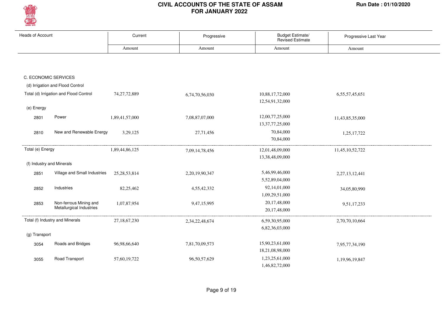

| <b>Heads of Account</b>   |                                        | Current         | Progressive    | Budget Estimate/<br><b>Revised Estimate</b> | Progressive Last Year |
|---------------------------|----------------------------------------|-----------------|----------------|---------------------------------------------|-----------------------|
|                           |                                        | Amount          | Amount         | Amount                                      | Amount                |
|                           |                                        |                 |                |                                             |                       |
|                           |                                        |                 |                |                                             |                       |
|                           | C. ECONOMIC SERVICES                   |                 |                |                                             |                       |
|                           | (d) Irrigation and Flood Control       |                 |                |                                             |                       |
|                           | Total (d) Irrigation and Flood Control | 74, 27, 72, 889 | 6,74,70,56,030 | 10,88,17,72,000                             | 6,55,57,45,651        |
|                           |                                        |                 |                | 12,54,91,32,000                             |                       |
| (e) Energy                |                                        |                 |                |                                             |                       |
| 2801                      | Power                                  | 1,89,41,57,000  | 7,08,87,07,000 | 12,00,77,25,000                             | 11,43,85,35,000       |
|                           |                                        |                 |                | 13, 37, 77, 25, 000                         |                       |
| 2810                      | New and Renewable Energy               | 3,29,125        | 27,71,456      | 70,84,000                                   | 1,25,17,722           |
|                           |                                        |                 |                | 70,84,000                                   |                       |
| Total (e) Energy          |                                        | 1,89,44,86,125  | 7,09,14,78,456 | 12,01,48,09,000                             | 11,45,10,52,722       |
|                           |                                        |                 |                | 13,38,48,09,000                             |                       |
| (f) Industry and Minerals |                                        |                 |                |                                             |                       |
| 2851                      | Village and Small Industries           | 25, 28, 53, 814 | 2,20,19,90,347 | 5,46,99,46,000                              | 2,27,13,12,441        |
|                           |                                        |                 |                | 5,52,89,04,000                              |                       |
| 2852                      | Industries                             | 82,25,462       | 4,55,42,332    | 92,14,01,000                                | 34,05,80,990          |
|                           |                                        |                 |                | 1,09,29,51,000                              |                       |
| 2853                      | Non-ferrous Mining and                 | 1,07,87,954     | 9,47,15,995    | 20,17,48,000                                | 9,51,17,233           |
|                           | Metallurgical Industries               |                 |                | 20,17,48,000                                |                       |
|                           | Total (f) Industry and Minerals        | 27,18,67,230    | 2,34,22,48,674 | 6,59,30,95,000                              | 2,70,70,10,664        |
|                           |                                        |                 |                | 6,82,36,03,000                              |                       |
| (g) Transport             |                                        |                 |                |                                             |                       |
| 3054                      | Roads and Bridges                      | 96,98,66,640    | 7,81,70,09,573 | 15,90,23,61,000                             | 7,95,77,34,190        |
|                           |                                        |                 |                | 18,21,08,98,000                             |                       |
| 3055                      | Road Transport                         | 57,60,19,722    | 96,50,57,629   | 1,23,25,61,000                              | 1,19,96,19,847        |
|                           |                                        |                 |                | 1,46,82,72,000                              |                       |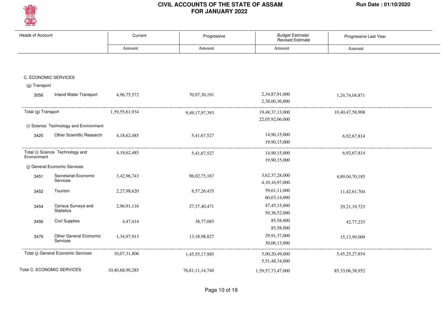

| <b>Heads of Account</b> |                                        | Current         | Progressive     | Budget Estimate/<br><b>Revised Estimate</b> | Progressive Last Year |  |
|-------------------------|----------------------------------------|-----------------|-----------------|---------------------------------------------|-----------------------|--|
|                         |                                        | Amount          | Amount          | Amount                                      | Amount                |  |
|                         |                                        |                 |                 |                                             |                       |  |
|                         | C. ECONOMIC SERVICES                   |                 |                 |                                             |                       |  |
| (g) Transport           |                                        |                 |                 |                                             |                       |  |
| 3056                    | <b>Inland Water Transport</b>          | 4,96,75,572     | 70,97,30,191    | 2,34,87,91,000                              | 1,24,74,04,871        |  |
|                         |                                        |                 |                 | 2,38,00,36,000                              |                       |  |
| Total (g) Transport     |                                        | 1,59,55,61,934  | 9,49,17,97,393  | 19,48,37,13,000                             | 10,40,47,58,908       |  |
|                         |                                        |                 |                 | 22,05,92,06,000                             |                       |  |
|                         | (i) Science Technology and Environment |                 |                 |                                             |                       |  |
| 3425                    | Other Scientific Research              | 4,18,62,485     | 5,41,67,527     | 14,90,15,000                                | 6,92,67,814           |  |
|                         |                                        |                 |                 | 19,90,15,000                                |                       |  |
|                         | Total (i) Science Technology and       | 4,18,62,485     | 5,41,67,527     | 14,90,15,000                                | 6,92,67,814           |  |
| Environment             |                                        |                 |                 | 19,90,15,000                                |                       |  |
|                         | (j) General Economic Services          |                 |                 |                                             |                       |  |
| 3451                    | Secretariat-Economic                   | 3,42,96,743     | 96,02,75,167    | 3,62,37,28,000                              | 4,89,04,70,185        |  |
|                         | Services                               |                 |                 | 4,10,16,97,000                              |                       |  |
| 3452                    | Tourism                                | 2,27,98,620     | 8,57,26,435     | 59,61,11,000                                | 11,42,61,704          |  |
|                         |                                        |                 |                 | 60,03,14,000                                |                       |  |
| 3454                    | Census Surveys and                     | 2,96,91,116     | 27, 37, 40, 471 | 47, 45, 15, 000                             | 29, 21, 19, 723       |  |
|                         | <b>Statistics</b>                      |                 |                 | 50,36,52,000                                |                       |  |
| 3456                    | <b>Civil Supplies</b>                  | 4,47,414        | 38,77,085       | 85,58,000                                   | 42,77,233             |  |
|                         |                                        |                 |                 | 85,58,000                                   |                       |  |
| 3475                    | Other General Economic                 | 1,34,97,913     | 13, 18, 98, 827 | 29,91,37,000                                | 15,13,99,009          |  |
|                         | Services                               |                 |                 | 30,06,13,000                                |                       |  |
|                         | Total (j) General Economic Services    | 10,07,31,806    | 1,45,55,17,985  | 5,00,20,49,000                              | 5,45,25,27,854        |  |
|                         |                                        |                 |                 | 5,51,48,34,000                              |                       |  |
|                         | Total C. ECONOMIC SERVICES             | 10,40,68,90,285 | 76,81,11,14,740 | 1,59,57,73,47,000                           | 85, 33, 06, 38, 952   |  |
|                         |                                        |                 |                 |                                             |                       |  |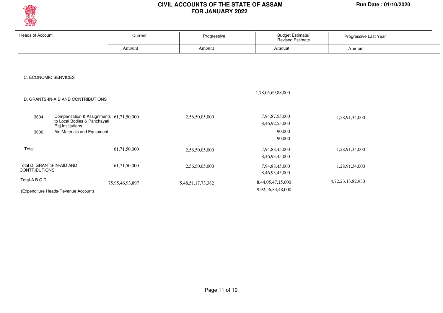

| <b>Heads of Account</b>                                 | Current         | Progressive       | Budget Estimate/<br><b>Revised Estimate</b> | Progressive Last Year |
|---------------------------------------------------------|-----------------|-------------------|---------------------------------------------|-----------------------|
|                                                         | Amount          | Amount            | Amount                                      | Amount                |
|                                                         |                 |                   |                                             |                       |
|                                                         |                 |                   |                                             |                       |
| C. ECONOMIC SERVICES                                    |                 |                   |                                             |                       |
|                                                         |                 |                   |                                             |                       |
|                                                         |                 |                   | 1,78,05,69,88,000                           |                       |
| D. GRANTS-IN-AID AND CONTRIBUTIONS                      |                 |                   |                                             |                       |
| Compensation & Assignments 61,71,50,000                 |                 | 2,56,50,05,000    | 7,94,87,55,000                              |                       |
| 3604<br>to Local Bodies & Panchayati                    |                 |                   | 8,46,92,55,000                              | 1,28,91,34,000        |
| Raj Institutions<br>Aid Materials and Equipment<br>3606 |                 |                   | 90,000                                      |                       |
|                                                         |                 |                   | 90,000                                      |                       |
| Total                                                   | 61,71,50,000    | 2,56,50,05,000    | 7,94,88,45,000                              | 1,28,91,34,000        |
|                                                         |                 |                   | 8,46,93,45,000                              |                       |
| Total D. GRANTS-IN-AID AND<br><b>CONTRIBUTIONS</b>      | 61,71,50,000    | 2,56,50,05,000    | 7,94,88,45,000                              | 1,28,91,34,000        |
|                                                         |                 |                   | 8,46,93,45,000                              |                       |
| Total-A.B.C.D.                                          | 75,95,46,93,897 | 5,48,51,17,73,382 | 8,44,05,47,15,000                           | 4,72,23,13,82,930     |
| (Expenditure Heads-Revenue Account)                     |                 |                   | 9,92,56,83,48,000                           |                       |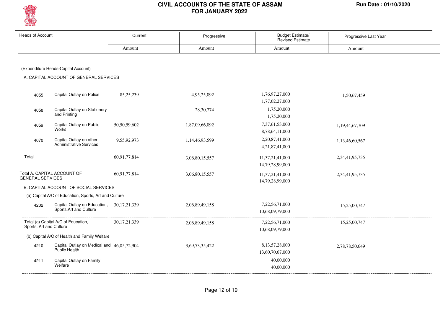

| <b>Heads of Account</b>                |                                                       | Current         | Progressive    | Budget Estimate/                 | Progressive Last Year |
|----------------------------------------|-------------------------------------------------------|-----------------|----------------|----------------------------------|-----------------------|
|                                        |                                                       |                 |                | <b>Revised Estimate</b>          |                       |
|                                        |                                                       | Amount          | Amount         | Amount                           | Amount                |
|                                        |                                                       |                 |                |                                  |                       |
|                                        | (Expenditure Heads-Capital Account)                   |                 |                |                                  |                       |
| A. CAPITAL ACCOUNT OF GENERAL SERVICES |                                                       |                 |                |                                  |                       |
|                                        |                                                       |                 |                |                                  |                       |
|                                        |                                                       |                 |                |                                  |                       |
| 4055                                   | Capital Outlay on Police                              | 85,25,239       | 4,95,25,092    | 1,76,97,27,000<br>1,77,02,27,000 | 1,50,67,459           |
|                                        | Capital Outlay on Stationery                          |                 |                | 1,75,20,000                      |                       |
| 4058                                   | and Printing                                          |                 | 28, 30, 774    | 1,75,20,000                      |                       |
|                                        | Capital Outlay on Public                              |                 |                | 7,37,61,53,000                   |                       |
| 4059                                   | Works                                                 | 50,50,59,602    | 1,87,09,66,092 | 8,78,64,11,000                   | 1,19,44,67,709        |
|                                        | Capital Outlay on other                               |                 |                | 2,20,87,41,000                   |                       |
| 4070                                   | Administrative Services                               | 9,55,92,973     | 1,14,46,93,599 | 4,21,87,41,000                   | 1,13,46,60,567        |
|                                        |                                                       |                 |                |                                  |                       |
| Total                                  |                                                       | 60,91,77,814    | 3,06,80,15,557 | 11,37,21,41,000                  | 2, 34, 41, 95, 735    |
|                                        |                                                       |                 |                | 14,79,28,99,000                  |                       |
| <b>GENERAL SERVICES</b>                | Total A. CAPITAL ACCOUNT OF                           | 60,91,77,814    | 3,06,80,15,557 | 11,37,21,41,000                  | 2, 34, 41, 95, 735    |
|                                        |                                                       |                 |                | 14,79,28,99,000                  |                       |
|                                        | B. CAPITAL ACCOUNT OF SOCIAL SERVICES                 |                 |                |                                  |                       |
|                                        | (a) Capital A/C of Education, Sports, Art and Culture |                 |                |                                  |                       |
| 4202                                   | Capital Outlay on Education, 30,17,21,339             |                 | 2,06,89,49,158 | 7,22,56,71,000                   | 15,25,00,747          |
|                                        | Sports, Art and Culture                               |                 |                | 10,68,09,79,000                  |                       |
|                                        | Total (a) Capital A/C of Education,                   | 30, 17, 21, 339 | 2,06,89,49,158 | 7,22,56,71,000                   | 15,25,00,747          |
| Sports, Art and Culture                |                                                       |                 |                | 10,68,09,79,000                  |                       |
|                                        | (b) Capital A/C of Health and Family Welfare          |                 |                |                                  |                       |
| 4210                                   | Capital Outlay on Medical and 46,05,72,904            |                 | 3,69,73,35,422 | 8,13,57,28,000                   | 2,78,78,50,649        |
|                                        | Public Health                                         |                 |                | 13,60,70,67,000                  |                       |
| 4211                                   | Capital Outlay on Family                              |                 |                | 40,00,000                        |                       |
|                                        | Welfare                                               |                 |                | 40,00,000                        |                       |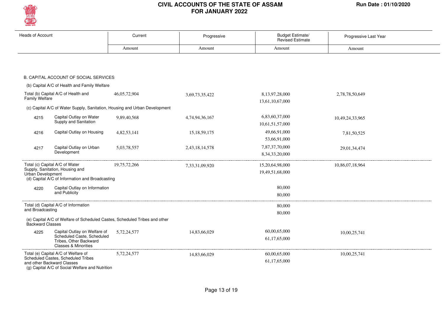

| <b>Heads of Account</b> |                                                                                                                                                            | Current         | Progressive     | <b>Budget Estimate/</b><br><b>Revised Estimate</b> | Progressive Last Year |
|-------------------------|------------------------------------------------------------------------------------------------------------------------------------------------------------|-----------------|-----------------|----------------------------------------------------|-----------------------|
|                         |                                                                                                                                                            | Amount          | Amount          | Amount                                             | Amount                |
|                         |                                                                                                                                                            |                 |                 |                                                    |                       |
|                         | B. CAPITAL ACCOUNT OF SOCIAL SERVICES                                                                                                                      |                 |                 |                                                    |                       |
|                         | (b) Capital A/C of Health and Family Welfare                                                                                                               |                 |                 |                                                    |                       |
| Family Welfare          | Total (b) Capital A/C of Health and                                                                                                                        | 46,05,72,904    | 3,69,73,35,422  | 8,13,97,28,000<br>13,61,10,67,000                  | 2,78,78,50,649        |
|                         | (c) Capital A/C of Water Supply, Sanitation, Housing and Urban Development                                                                                 |                 |                 |                                                    |                       |
| 4215                    | Capital Outlay on Water<br>Supply and Sanitation                                                                                                           | 9,89,40,568     | 4,74,94,36,167  | 6,83,60,37,000<br>10,61,51,57,000                  | 10,49,24,33,965       |
| 4216                    | Capital Outlay on Housing                                                                                                                                  | 4,82,53,141     | 15, 18, 59, 175 | 49,66,91,000<br>53,66,91,000                       | 7,81,50,525           |
| 4217                    | Capital Outlay on Urban<br>Development                                                                                                                     | 5,03,78,557     | 2,43,18,14,578  | 7,87,37,70,000<br>8, 34, 33, 20, 000               | 29,01,34,474          |
| Urban Development       | Total (c) Capital A/C of Water<br>Supply, Sanitation, Housing and<br>(d) Capital A/C of Information and Broadcasting                                       | 19, 75, 72, 266 | 7,33,31,09,920  | 15,20,64,98,000<br>19,49,51,68,000                 | 10,86,07,18,964       |
| 4220                    | Capital Outlay on Information<br>and Publicity                                                                                                             |                 |                 | 80,000<br>80,000                                   |                       |
| and Broadcasting        | Total (d) Capital A/C of Information                                                                                                                       |                 |                 | 80,000<br>80,000                                   |                       |
| <b>Backward Classes</b> | (e) Capital A/C of Welfare of Scheduled Castes, Scheduled Tribes and other                                                                                 |                 |                 |                                                    |                       |
| 4225                    | Capital Outlay on Welfare of<br>Scheduled Caste, Scheduled<br>Tribes, Other Backward<br><b>Classes &amp; Minorities</b>                                    | 5,72,24,577     | 14,83,66,029    | 60,00,65,000<br>61,17,65,000                       | 10,00,25,741          |
|                         | Total (e) Capital A/C of Welfare of<br>Scheduled Castes, Scheduled Tribes<br>and other Backward Classes<br>(g) Capital A/C of Social Welfare and Nutrition | 5,72,24,577     | 14,83,66,029    | 60,00,65,000<br>61,17,65,000                       | 10,00,25,741          |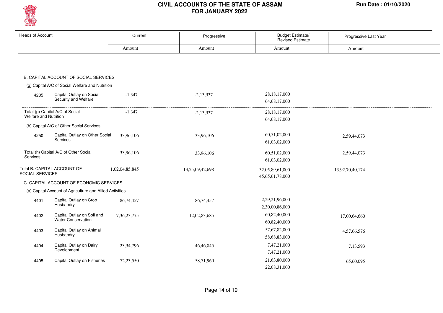

| <b>Heads of Account</b>                                         | Current        | Progressive     | <b>Budget Estimate/</b><br>Revised Estimate | Progressive Last Year |  |
|-----------------------------------------------------------------|----------------|-----------------|---------------------------------------------|-----------------------|--|
|                                                                 | Amount         | Amount          | Amount                                      | Amount                |  |
|                                                                 |                |                 |                                             |                       |  |
|                                                                 |                |                 |                                             |                       |  |
| B. CAPITAL ACCOUNT OF SOCIAL SERVICES                           |                |                 |                                             |                       |  |
| (g) Capital A/C of Social Welfare and Nutrition                 |                |                 |                                             |                       |  |
|                                                                 |                |                 |                                             |                       |  |
| Capital Outlay on Social<br>4235<br>Security and Welfare        | $-1,347$       | $-2,13,937$     | 28, 18, 17, 000                             |                       |  |
|                                                                 |                |                 | 64, 68, 17, 000                             |                       |  |
| Total (g) Capital A/C of Social                                 | $-1,347$       | $-2,13,937$     | 28, 18, 17, 000                             |                       |  |
| Welfare and Nutrition                                           |                |                 | 64, 68, 17, 000                             |                       |  |
| (h) Capital A/C of Other Social Services                        |                |                 |                                             |                       |  |
| Capital Outlay on Other Social<br>4250                          | 33,96,106      | 33,96,106       | 60,51,02,000                                | 2,59,44,073           |  |
| <b>Services</b>                                                 |                |                 | 61,03,02,000                                |                       |  |
| Total (h) Capital A/C of Other Social                           | 33,96,106      | 33,96,106       | 60,51,02,000                                | 2,59,44,073           |  |
| Services                                                        |                |                 | 61,03,02,000                                |                       |  |
| Total B. CAPITAL ACCOUNT OF                                     |                |                 |                                             |                       |  |
| SOCIAL SERVICES                                                 | 1,02,04,85,845 | 13,25,09,42,698 | 32,05,89,61,000                             | 13,92,70,40,174       |  |
| C. CAPITAL ACCOUNT OF ECONOMIC SERVICES                         |                |                 | 45,65,61,78,000                             |                       |  |
| (a) Capital Account of Agriculture and Allied Activities        |                |                 |                                             |                       |  |
|                                                                 |                |                 |                                             |                       |  |
| Capital Outlay on Crop<br>4401<br>Husbandry                     | 86,74,457      | 86,74,457       | 2,29,21,96,000                              |                       |  |
|                                                                 |                |                 | 2,30,00,86,000                              |                       |  |
| Capital Outlay on Soil and<br>4402<br><b>Water Conservation</b> | 7,36,23,775    | 12,02,83,685    | 60,82,40,000                                | 17,00,64,660          |  |
|                                                                 |                |                 | 60,82,40,000                                |                       |  |
| Capital Outlay on Animal<br>4403<br>Husbandry                   |                |                 | 57,67,82,000                                | 4,57,66,576           |  |
|                                                                 |                |                 | 58,68,83,000                                |                       |  |
| Capital Outlay on Dairy<br>4404<br>Development                  | 23, 34, 796    | 46,46,845       | 7,47,21,000                                 | 7,13,593              |  |
|                                                                 |                |                 | 7,47,21,000                                 |                       |  |
| Capital Outlay on Fisheries<br>4405                             | 72,23,550      | 58,71,960       | 21,63,80,000                                | 65,60,095             |  |
|                                                                 |                |                 | 22,08,31,000                                |                       |  |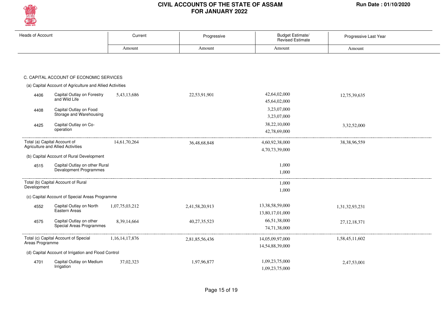

| <b>Heads of Account</b>                                  |                                                                   | Current            | Progressive     | Budget Estimate/<br>Revised Estimate | Progressive Last Year |
|----------------------------------------------------------|-------------------------------------------------------------------|--------------------|-----------------|--------------------------------------|-----------------------|
|                                                          |                                                                   | Amount             | Amount          | Amount                               | Amount                |
|                                                          |                                                                   |                    |                 |                                      |                       |
|                                                          | C. CAPITAL ACCOUNT OF ECONOMIC SERVICES                           |                    |                 |                                      |                       |
| (a) Capital Account of Agriculture and Allied Activities |                                                                   |                    |                 |                                      |                       |
| 4406                                                     | Capital Outlay on Forestry<br>and Wild Life                       | 5,43,13,686        | 22,53,91,901    | 42,64,02,000<br>45,64,02,000         | 12,75,39,635          |
| 4408                                                     | Capital Outlay on Food<br>Storage and Warehousing                 |                    |                 | 3,23,07,000<br>3,23,07,000           |                       |
| 4425                                                     | Capital Outlay on Co-<br>operation                                |                    |                 | 38,22,10,000<br>42,78,69,000         | 3,32,52,000           |
|                                                          | Total (a) Capital Account of<br>Agriculture and Allied Activities | 14,61,70,264       | 36,48,68,848    | 4,60,92,38,000<br>4,70,73,39,000     | 38, 38, 96, 559       |
|                                                          | (b) Capital Account of Rural Development                          |                    |                 |                                      |                       |
| 4515                                                     | Capital Outlay on other Rural<br>Devalopment Programmes           |                    |                 | 1,000<br>1,000                       |                       |
| Development                                              | Total (b) Capital Account of Rural                                |                    |                 | 1,000<br>1,000                       |                       |
|                                                          | (c) Capital Account of Special Areas Programme                    |                    |                 |                                      |                       |
| 4552                                                     | Capital Outlay on North<br>Eastern Areas                          | 1,07,75,03,212     | 2,41,58,20,913  | 13,38,58,59,000<br>13,80,17,01,000   | 1,31,32,93,231        |
| 4575                                                     | Capital Outlay on other<br>Special Areas Programmes               | 8,39,14,664        | 40, 27, 35, 523 | 66,51,38,000<br>74,71,38,000         | 27, 12, 18, 371       |
| Areas Programme                                          | Total (c) Capital Account of Special                              | 1, 16, 14, 17, 876 | 2,81,85,56,436  | 14,05,09,97,000<br>14,54,88,39,000   | 1,58,45,11,602        |
|                                                          | (d) Capital Account of Irrigation and Flood Control               |                    |                 |                                      |                       |
| 4701                                                     | Capital Outlay on Medium<br>Irrigation                            | 37,02,323          | 1,97,96,877     | 1,09,23,75,000<br>1,09,23,75,000     | 2,47,53,001           |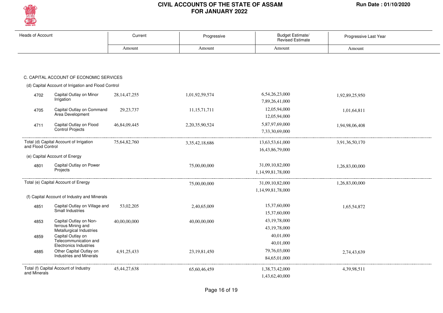

| <b>Heads of Account</b> |                                                        | Current         | Progressive        | Budget Estimate/<br><b>Revised Estimate</b> | Progressive Last Year |
|-------------------------|--------------------------------------------------------|-----------------|--------------------|---------------------------------------------|-----------------------|
|                         |                                                        | Amount          | Amount             | Amount                                      | Amount                |
|                         |                                                        |                 |                    |                                             |                       |
|                         | C. CAPITAL ACCOUNT OF ECONOMIC SERVICES                |                 |                    |                                             |                       |
|                         | (d) Capital Account of Irrigation and Flood Control    |                 |                    |                                             |                       |
| 4702                    | Capital Outlay on Minor                                | 28, 14, 47, 255 | 1,01,92,59,574     | 6,54,26,23,000                              | 1,92,89,25,950        |
|                         | Irrigation                                             |                 |                    | 7,89,26,41,000                              |                       |
| 4705                    | Capital Outlay on Command                              | 29, 23, 737     | 11, 15, 71, 711    | 12,05,94,000                                | 1,01,64,811           |
|                         | Area Development                                       |                 |                    | 12,05,94,000                                |                       |
| 4711                    | Capital Outlay on Flood                                | 46,84,09,445    | 2, 20, 35, 90, 524 | 5,87,97,69,000                              | 1,94,98,06,408        |
|                         | <b>Control Projects</b>                                |                 |                    | 7,33,30,69,000                              |                       |
|                         | Total (d) Capital Account of Irrigation                | 75,64,82,760    | 3, 35, 42, 18, 686 | 13,63,53,61,000                             | 3,91,36,50,170        |
| and Flood Control       |                                                        |                 |                    | 16,43,86,79,000                             |                       |
|                         | (e) Capital Account of Energy                          |                 |                    |                                             |                       |
| 4801                    | Capital Outlay on Power                                |                 | 75,00,00,000       | 31,09,10,82,000                             | 1,26,83,00,000        |
|                         | Projects                                               |                 |                    | 1,14,99,81,78,000                           |                       |
|                         | Total (e) Capital Account of Energy                    |                 | 75,00,00,000       | 31,09,10,82,000                             | 1,26,83,00,000        |
|                         |                                                        |                 |                    | 1,14,99,81,78,000                           |                       |
|                         | (f) Capital Account of Industry and Minerals           |                 |                    |                                             |                       |
| 4851                    | Capital Outlay on Village and                          | 53,02,205       | 2,40,65,009        | 15,37,60,000                                | 1,65,54,872           |
|                         | Small Industries                                       |                 |                    | 15,37,60,000                                |                       |
| 4853                    | Capital Outlay on Non-                                 | 40,00,00,000    | 40,00,00,000       | 43, 19, 78, 000                             |                       |
|                         | ferrous Mining and<br>Metallurgical Industries         |                 |                    | 43, 19, 78, 000                             |                       |
| 4859                    | Capital Outlay on                                      |                 |                    | 40,01,000                                   |                       |
|                         | Telecommunication and<br><b>Electronics Industries</b> |                 |                    | 40,01,000                                   |                       |
| 4885                    | Other Capital Outlay on<br>Industries and Minerals     | 4,91,25,433     | 23, 19, 81, 450    | 79,76,03,000                                | 2,74,43,639           |
|                         |                                                        |                 |                    | 84,65,01,000                                |                       |
|                         | Total (f) Capital Account of Industry                  | 45, 44, 27, 638 | 65,60,46,459       | 1,38,73,42,000                              | 4,39,98,511           |
| and Minerals            |                                                        |                 |                    | 1,43,62,40,000                              |                       |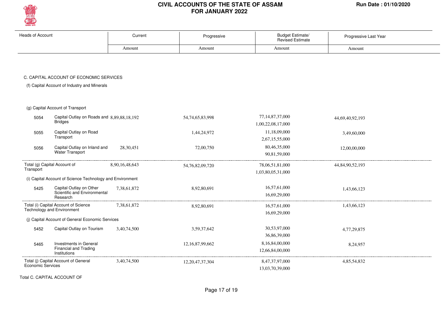

| <b>Heads of Account</b>                   |                                                                           | Current        | Progressive         | <b>Budget Estimate/</b><br>Revised Estimate | Progressive Last Year |
|-------------------------------------------|---------------------------------------------------------------------------|----------------|---------------------|---------------------------------------------|-----------------------|
|                                           |                                                                           | Amount         | Amount              | Amount                                      | Amount                |
|                                           |                                                                           |                |                     |                                             |                       |
|                                           | C. CAPITAL ACCOUNT OF ECONOMIC SERVICES                                   |                |                     |                                             |                       |
|                                           | (f) Capital Account of Industry and Minerals                              |                |                     |                                             |                       |
|                                           | (g) Capital Account of Transport                                          |                |                     |                                             |                       |
| 5054                                      | Capital Outlay on Roads and 8,89,88,18,192<br><b>Bridges</b>              |                | 54,74,65,83,998     | 77,14,87,37,000<br>1,00,22,08,17,000        | 44,69,40,92,193       |
| 5055                                      | Capital Outlay on Road<br>Transport                                       |                | 1,44,24,972         | 11,18,09,000<br>2,67,15,55,000              | 3,49,60,000           |
| 5056                                      | Capital Outlay on Inland and<br>Water Transport                           | 28,30,451      | 72,00,750           | 80,46,35,000<br>90,81,59,000                | 12,00,00,000          |
| Total (g) Capital Account of<br>Transport |                                                                           | 8,90,16,48,643 | 54,76,82,09,720     | 78,06,51,81,000<br>1,03,80,05,31,000        | 44,84,90,52,193       |
|                                           | (i) Capital Account of Science Technology and Environment                 |                |                     |                                             |                       |
| 5425                                      | Capital Outlay on Other<br>Scientific and Environmental<br>Research       | 7,38,61,872    | 8,92,80,691         | 16,57,61,000<br>16,69,29,000                | 1,43,66,123           |
|                                           | Total (i) Capital Account of Science<br><b>Technology and Environment</b> | 7,38,61,872    | 8,92,80,691         | 16,57,61,000<br>16,69,29,000                | 1,43,66,123           |
|                                           | (j) Capital Account of General Economic Services                          |                |                     |                                             |                       |
| 5452                                      | Capital Outlay on Tourism                                                 | 3,40,74,500    | 3,59,37,642         | 30,53,97,000<br>36,86,39,000                | 4,77,29,875           |
| 5465                                      | Investments in General<br><b>Financial and Trading</b><br>Institutions    |                | 12,16,87,99,662     | 8,16,84,00,000<br>12,66,84,00,000           | 8,24,957              |
| Economic Services                         | Total (j) Capital Account of General                                      | 3,40,74,500    | 12, 20, 47, 37, 304 | 8, 47, 37, 97, 000<br>13.03.70.39.000       | 4,85,54,832           |

Total C. CAPITAL ACCOUNT OF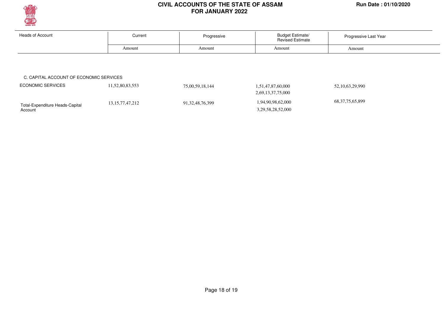

Account<sup>1</sup>

#### **CIVIL ACCOUNTS OF THE STATE OF ASSAM Run Date : 01/10/2020 FOR JANUARY 2022**

| <b>Heads of Account</b>                 | Current         | Progressive     | <b>Budget Estimate/</b><br><b>Revised Estimate</b> | Progressive Last Year |
|-----------------------------------------|-----------------|-----------------|----------------------------------------------------|-----------------------|
|                                         | Amount          | Amount          | Amount                                             | Amount                |
|                                         |                 |                 |                                                    |                       |
|                                         |                 |                 |                                                    |                       |
|                                         |                 |                 |                                                    |                       |
| C. CAPITAL ACCOUNT OF ECONOMIC SERVICES |                 |                 |                                                    |                       |
| <b>ECONOMIC SERVICES</b>                | 11,52,80,83,553 | 75,00,59,18,144 | 1,51,47,87,60,000                                  | 52, 10, 63, 29, 990   |
|                                         |                 |                 | 2,69,13,37,75,000                                  |                       |

3,29,58,28,52,000

Page 18 of 19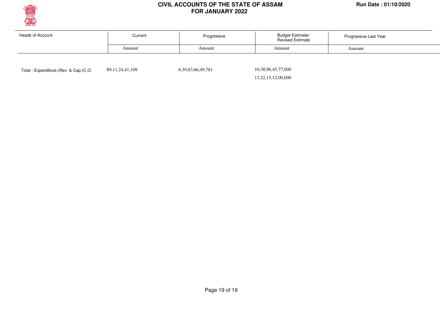

| Heads of Account | urrent, | Progressive |        | Progressive Last Year |  |
|------------------|---------|-------------|--------|-----------------------|--|
|                  | Amount  | Amount      | Amount | Amount                |  |

Total - Expenditure.(Rev. & Cap.)C.O. 89,11,24,41,109 6,39,83,66,49,781

 10,38,96,45,77,000 13,22,15,12,00,000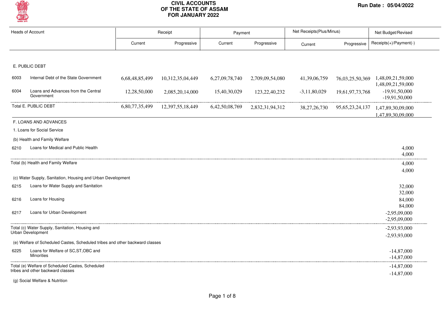

| <b>Heads of Account</b> |                                                                              |                | Receipt          | Payment        |                  | Net Receipts(Plus/Minus) |                     | Net Budget/Revised                         |
|-------------------------|------------------------------------------------------------------------------|----------------|------------------|----------------|------------------|--------------------------|---------------------|--------------------------------------------|
|                         |                                                                              | Current        | Progressive      | Current        | Progressive      | Current                  | Progressive         | Receipts(+)/Payment(-)                     |
|                         |                                                                              |                |                  |                |                  |                          |                     |                                            |
|                         | E. PUBLIC DEBT                                                               |                |                  |                |                  |                          |                     |                                            |
| 6003                    | Internal Debt of the State Government                                        | 6,68,48,85,499 | 10,312,35,04,449 | 6,27,09,78,740 | 2,709,09,54,080  | 41,39,06,759             | 76,03,25,50,369     | 1,48,09,21,59,000<br>1,48,09,21,59,000     |
| 6004                    | Loans and Advances from the Central<br>Government                            | 12,28,50,000   | 2,085,20,14,000  | 15,40,30,029   | 123, 22, 40, 232 | $-3,11,80,029$           | 19,61,97,73,768     | $-19,91,50,000$<br>$-19,91,50,000$         |
|                         | Total E. PUBLIC DEBT                                                         | 6,80,77,35,499 | 12,397,55,18,449 | 6,42,50,08,769 | 2,832,31,94,312  | 38, 27, 26, 730          | 95, 65, 23, 24, 137 | 1,47,89,30,09,000<br>1,47,89,30,09,000     |
|                         | F. LOANS AND ADVANCES                                                        |                |                  |                |                  |                          |                     |                                            |
|                         | 1. Loans for Social Service                                                  |                |                  |                |                  |                          |                     |                                            |
|                         | (b) Health and Family Welfare                                                |                |                  |                |                  |                          |                     |                                            |
| 6210                    | Loans for Medical and Public Health                                          |                |                  |                |                  |                          |                     | 4,000<br>4,000                             |
|                         | Total (b) Health and Family Welfare                                          |                |                  |                |                  |                          |                     | 4,000                                      |
|                         | (c) Water Supply, Sanitation, Housing and Urban Development                  |                |                  |                |                  |                          |                     | 4,000                                      |
| 6215                    | Loans for Water Supply and Sanitation                                        |                |                  |                |                  |                          |                     | 32,000                                     |
|                         |                                                                              |                |                  |                |                  |                          |                     | 32,000                                     |
| 6216                    | Loans for Housing                                                            |                |                  |                |                  |                          |                     | 84,000                                     |
| 6217                    | Loans for Urban Development                                                  |                |                  |                |                  |                          |                     | 84,000<br>$-2,95,09,000$<br>$-2,95,09,000$ |
|                         | Total (c) Water Supply, Sanitation, Housing and                              |                |                  |                |                  |                          |                     | $-2,93,93,000$                             |
|                         | Urban Development                                                            |                |                  |                |                  |                          |                     | $-2,93,93,000$                             |
|                         | (e) Welfare of Scheduled Castes, Scheduled tribes and other backward classes |                |                  |                |                  |                          |                     |                                            |
| 6225                    | Loans for Welfare of SC, ST, OBC and<br><b>Minorities</b>                    |                |                  |                |                  |                          |                     | $-14,87,000$<br>$-14,87,000$               |
|                         | Total (e) Welfare of Scheduled Castes, Scheduled                             |                |                  |                |                  |                          |                     | $-14,87,000$                               |
|                         | tribes and other backward classes                                            |                |                  |                |                  |                          |                     | $-14,87,000$                               |

(g) Social Welfare & Nutrition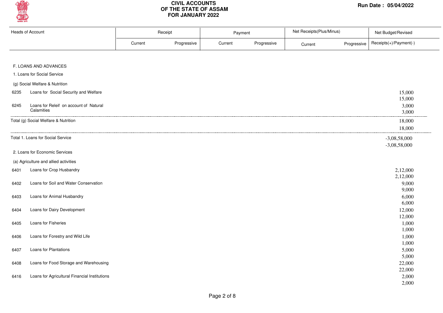

| Progressive<br>Progressive<br>Receipts(+)/Payment(-)<br>Current<br>Current<br>Progressive<br>Current<br>F. LOANS AND ADVANCES<br>1. Loans for Social Service<br>(g) Social Welfare & Nutrition<br>Loans for Social Security and Welfare<br>15,000<br>6235<br>15,000<br>Loans for Releif on account of Natural<br>3,000<br>6245<br>Calamities<br>3,000<br>Total (g) Social Welfare & Nutrition<br>18,000<br>18,000<br>Total 1. Loans for Social Service<br>$-3,08,58,000$<br>$-3,08,58,000$<br>2. Loans for Economic Services<br>(a) Agriculture and allied activities<br>Loans for Crop Husbandry<br>2,12,000<br>6401<br>2,12,000<br>Loans for Soil and Water Conservation<br>9,000<br>6402<br>9,000<br>Loans for Animal Husbandry<br>6,000<br>6403<br>6,000<br>Loans for Dairy Development<br>12,000<br>6404<br>12,000<br>Loans for Fisheries<br>1,000<br>6405<br>1,000<br>Loans for Forestry and Wild Life<br>1,000<br>6406<br>1,000<br>Loans for Plantations<br>5,000<br>6407<br>5,000<br>Loans for Food Storage and Warehousing<br>22,000<br>6408<br>22,000 | <b>Heads of Account</b> |  | Receipt<br>Payment |  | Net Receipts(Plus/Minus) |  | Net Budget/Revised |  |
|-----------------------------------------------------------------------------------------------------------------------------------------------------------------------------------------------------------------------------------------------------------------------------------------------------------------------------------------------------------------------------------------------------------------------------------------------------------------------------------------------------------------------------------------------------------------------------------------------------------------------------------------------------------------------------------------------------------------------------------------------------------------------------------------------------------------------------------------------------------------------------------------------------------------------------------------------------------------------------------------------------------------------------------------------------------------|-------------------------|--|--------------------|--|--------------------------|--|--------------------|--|
|                                                                                                                                                                                                                                                                                                                                                                                                                                                                                                                                                                                                                                                                                                                                                                                                                                                                                                                                                                                                                                                                 |                         |  |                    |  |                          |  |                    |  |
|                                                                                                                                                                                                                                                                                                                                                                                                                                                                                                                                                                                                                                                                                                                                                                                                                                                                                                                                                                                                                                                                 |                         |  |                    |  |                          |  |                    |  |
|                                                                                                                                                                                                                                                                                                                                                                                                                                                                                                                                                                                                                                                                                                                                                                                                                                                                                                                                                                                                                                                                 |                         |  |                    |  |                          |  |                    |  |
|                                                                                                                                                                                                                                                                                                                                                                                                                                                                                                                                                                                                                                                                                                                                                                                                                                                                                                                                                                                                                                                                 |                         |  |                    |  |                          |  |                    |  |
|                                                                                                                                                                                                                                                                                                                                                                                                                                                                                                                                                                                                                                                                                                                                                                                                                                                                                                                                                                                                                                                                 |                         |  |                    |  |                          |  |                    |  |
|                                                                                                                                                                                                                                                                                                                                                                                                                                                                                                                                                                                                                                                                                                                                                                                                                                                                                                                                                                                                                                                                 |                         |  |                    |  |                          |  |                    |  |
|                                                                                                                                                                                                                                                                                                                                                                                                                                                                                                                                                                                                                                                                                                                                                                                                                                                                                                                                                                                                                                                                 |                         |  |                    |  |                          |  |                    |  |
|                                                                                                                                                                                                                                                                                                                                                                                                                                                                                                                                                                                                                                                                                                                                                                                                                                                                                                                                                                                                                                                                 |                         |  |                    |  |                          |  |                    |  |
|                                                                                                                                                                                                                                                                                                                                                                                                                                                                                                                                                                                                                                                                                                                                                                                                                                                                                                                                                                                                                                                                 |                         |  |                    |  |                          |  |                    |  |
|                                                                                                                                                                                                                                                                                                                                                                                                                                                                                                                                                                                                                                                                                                                                                                                                                                                                                                                                                                                                                                                                 |                         |  |                    |  |                          |  |                    |  |
|                                                                                                                                                                                                                                                                                                                                                                                                                                                                                                                                                                                                                                                                                                                                                                                                                                                                                                                                                                                                                                                                 |                         |  |                    |  |                          |  |                    |  |
|                                                                                                                                                                                                                                                                                                                                                                                                                                                                                                                                                                                                                                                                                                                                                                                                                                                                                                                                                                                                                                                                 |                         |  |                    |  |                          |  |                    |  |
|                                                                                                                                                                                                                                                                                                                                                                                                                                                                                                                                                                                                                                                                                                                                                                                                                                                                                                                                                                                                                                                                 |                         |  |                    |  |                          |  |                    |  |
|                                                                                                                                                                                                                                                                                                                                                                                                                                                                                                                                                                                                                                                                                                                                                                                                                                                                                                                                                                                                                                                                 |                         |  |                    |  |                          |  |                    |  |
|                                                                                                                                                                                                                                                                                                                                                                                                                                                                                                                                                                                                                                                                                                                                                                                                                                                                                                                                                                                                                                                                 |                         |  |                    |  |                          |  |                    |  |
|                                                                                                                                                                                                                                                                                                                                                                                                                                                                                                                                                                                                                                                                                                                                                                                                                                                                                                                                                                                                                                                                 |                         |  |                    |  |                          |  |                    |  |
|                                                                                                                                                                                                                                                                                                                                                                                                                                                                                                                                                                                                                                                                                                                                                                                                                                                                                                                                                                                                                                                                 |                         |  |                    |  |                          |  |                    |  |
|                                                                                                                                                                                                                                                                                                                                                                                                                                                                                                                                                                                                                                                                                                                                                                                                                                                                                                                                                                                                                                                                 |                         |  |                    |  |                          |  |                    |  |
|                                                                                                                                                                                                                                                                                                                                                                                                                                                                                                                                                                                                                                                                                                                                                                                                                                                                                                                                                                                                                                                                 |                         |  |                    |  |                          |  |                    |  |
|                                                                                                                                                                                                                                                                                                                                                                                                                                                                                                                                                                                                                                                                                                                                                                                                                                                                                                                                                                                                                                                                 |                         |  |                    |  |                          |  |                    |  |
|                                                                                                                                                                                                                                                                                                                                                                                                                                                                                                                                                                                                                                                                                                                                                                                                                                                                                                                                                                                                                                                                 |                         |  |                    |  |                          |  |                    |  |
|                                                                                                                                                                                                                                                                                                                                                                                                                                                                                                                                                                                                                                                                                                                                                                                                                                                                                                                                                                                                                                                                 |                         |  |                    |  |                          |  |                    |  |
|                                                                                                                                                                                                                                                                                                                                                                                                                                                                                                                                                                                                                                                                                                                                                                                                                                                                                                                                                                                                                                                                 |                         |  |                    |  |                          |  |                    |  |
|                                                                                                                                                                                                                                                                                                                                                                                                                                                                                                                                                                                                                                                                                                                                                                                                                                                                                                                                                                                                                                                                 |                         |  |                    |  |                          |  |                    |  |
|                                                                                                                                                                                                                                                                                                                                                                                                                                                                                                                                                                                                                                                                                                                                                                                                                                                                                                                                                                                                                                                                 |                         |  |                    |  |                          |  |                    |  |
|                                                                                                                                                                                                                                                                                                                                                                                                                                                                                                                                                                                                                                                                                                                                                                                                                                                                                                                                                                                                                                                                 |                         |  |                    |  |                          |  |                    |  |
|                                                                                                                                                                                                                                                                                                                                                                                                                                                                                                                                                                                                                                                                                                                                                                                                                                                                                                                                                                                                                                                                 |                         |  |                    |  |                          |  |                    |  |
|                                                                                                                                                                                                                                                                                                                                                                                                                                                                                                                                                                                                                                                                                                                                                                                                                                                                                                                                                                                                                                                                 |                         |  |                    |  |                          |  |                    |  |
|                                                                                                                                                                                                                                                                                                                                                                                                                                                                                                                                                                                                                                                                                                                                                                                                                                                                                                                                                                                                                                                                 |                         |  |                    |  |                          |  |                    |  |
|                                                                                                                                                                                                                                                                                                                                                                                                                                                                                                                                                                                                                                                                                                                                                                                                                                                                                                                                                                                                                                                                 |                         |  |                    |  |                          |  |                    |  |
| Loans for Agricultural Financial Institutions<br>2,000<br>6416<br>2,000                                                                                                                                                                                                                                                                                                                                                                                                                                                                                                                                                                                                                                                                                                                                                                                                                                                                                                                                                                                         |                         |  |                    |  |                          |  |                    |  |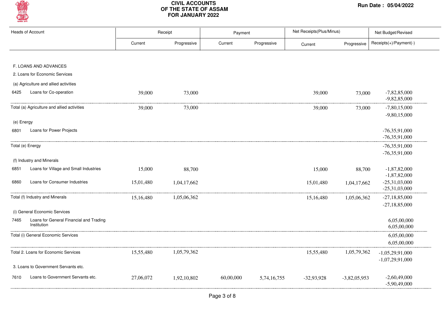

|            | <b>Heads of Account</b>                                |           | Receipt     | Payment   |             | Net Receipts(Plus/Minus) |                | Net Budget/Revised               |
|------------|--------------------------------------------------------|-----------|-------------|-----------|-------------|--------------------------|----------------|----------------------------------|
|            |                                                        | Current   | Progressive | Current   | Progressive | Current                  | Progressive    | Receipts(+)/Payment(-)           |
|            |                                                        |           |             |           |             |                          |                |                                  |
|            | F. LOANS AND ADVANCES                                  |           |             |           |             |                          |                |                                  |
|            | 2. Loans for Economic Services                         |           |             |           |             |                          |                |                                  |
|            | (a) Agriculture and allied activities                  |           |             |           |             |                          |                |                                  |
| 6425       | Loans for Co-operation                                 | 39,000    | 73,000      |           |             | 39,000                   | 73,000         | $-7,82,85,000$<br>$-9,82,85,000$ |
|            | Total (a) Agriculture and allied activities            | 39,000    | 73,000      |           |             | 39,000                   | 73,000         | $-7,80,15,000$                   |
|            |                                                        |           |             |           |             |                          |                | $-9,80,15,000$                   |
| (e) Energy |                                                        |           |             |           |             |                          |                |                                  |
| 6801       | Loans for Power Projects                               |           |             |           |             |                          |                | $-76,35,91,000$                  |
|            |                                                        |           |             |           |             |                          |                | $-76,35,91,000$                  |
|            | Total (e) Energy                                       |           |             |           |             |                          |                | $-76,35,91,000$                  |
|            | (f) Industry and Minerals                              |           |             |           |             |                          |                | $-76,35,91,000$                  |
|            |                                                        |           |             |           |             |                          |                |                                  |
| 6851       | Loans for Village and Small Industries                 | 15,000    | 88,700      |           |             | 15,000                   | 88,700         | $-1,87,82,000$<br>$-1,87,82,000$ |
| 6860       | Loans for Consumer Industries                          | 15,01,480 | 1,04,17,662 |           |             | 15,01,480                | 1,04,17,662    | $-25,31,03,000$                  |
|            |                                                        |           |             |           |             |                          |                | $-25,31,03,000$                  |
|            | Total (f) Industry and Minerals                        | 15,16,480 | 1,05,06,362 |           |             | 15,16,480                | 1,05,06,362    | $-27,18,85,000$                  |
|            |                                                        |           |             |           |             |                          |                | $-27,18,85,000$                  |
|            | (i) General Economic Services                          |           |             |           |             |                          |                |                                  |
| 7465       | Loans for General Financial and Trading<br>Institution |           |             |           |             |                          |                | 6,05,00,000                      |
|            |                                                        |           |             |           |             |                          |                | 6,05,00,000                      |
|            | Total (i) General Economic Services                    |           |             |           |             |                          |                | 6,05,00,000                      |
|            |                                                        |           |             |           |             |                          |                | 6,05,00,000                      |
|            | Total 2. Loans for Economic Services                   | 15,55,480 | 1,05,79,362 |           |             | 15,55,480                | 1,05,79,362    | $-1,05,29,91,000$                |
|            | 3. Loans to Government Servants etc.                   |           |             |           |             |                          |                | $-1,07,29,91,000$                |
|            | Loans to Government Servants etc.                      |           |             |           |             |                          |                | $-2,60,49,000$                   |
| 7610       |                                                        | 27,06,072 | 1,92,10,802 | 60,00,000 | 5,74,16,755 | $-32,93,928$             | $-3,82,05,953$ | $-5,90,49,000$                   |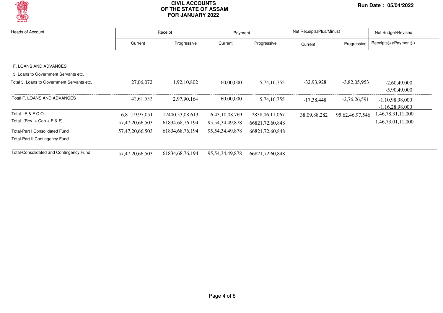

| <b>Heads of Account</b>                    |                 | Receipt            |                     | Payment           |              | Net Receipts (Plus/Minus) |                        |
|--------------------------------------------|-----------------|--------------------|---------------------|-------------------|--------------|---------------------------|------------------------|
|                                            | Current         | Progressive        | Current             | Progressive       | Current      | Progressive               | Receipts(+)/Payment(-) |
|                                            |                 |                    |                     |                   |              |                           |                        |
| F. LOANS AND ADVANCES                      |                 |                    |                     |                   |              |                           |                        |
| 3. Loans to Government Servants etc.       |                 |                    |                     |                   |              |                           |                        |
| Total 3. Loans to Government Servants etc. | 27,06,072       | 1,92,10,802        | 60,00,000           | 5,74,16,755       | $-32,93,928$ | $-3,82,05,953$            | $-2,60,49,000$         |
|                                            |                 |                    |                     |                   |              |                           | $-5,90,49,000$         |
| Total F. LOANS AND ADVANCES                | 42,61,552       | 2,97,90,164        | 60,00,000           | 5,74,16,755       | $-17.38.448$ | $-2,76,26,591$            | $-1,10,98,98,000$      |
|                                            |                 |                    |                     |                   |              |                           | $-1,16,28,98,000$      |
| Total - E & F C.O.                         | 6,81,19,97,051  | 12400, 53, 08, 613 | 6, 43, 10, 08, 769  | 2838, 06, 11, 067 | 38,09,88,282 | 95, 62, 46, 97, 546       | 1,46,78,31,11,000      |
| Total- (Rev. + Cap. + E & F)               | 57,47,20,66,503 | 61834, 68, 76, 194 | 95, 54, 34, 49, 878 | 66821,72,60,848   |              |                           | 1,46,73,01,11,000      |
| <b>Total-Part I Consolidated Fund</b>      | 57,47,20,66,503 | 61834, 68, 76, 194 | 95, 54, 34, 49, 878 | 66821,72,60,848   |              |                           |                        |
| <b>Total-Part II Contingency Fund</b>      |                 |                    |                     |                   |              |                           |                        |
| Total-Consolidated and Contingency Fund    | 57,47,20,66,503 | 61834, 68, 76, 194 | 95, 54, 34, 49, 878 | 66821,72,60,848   |              |                           |                        |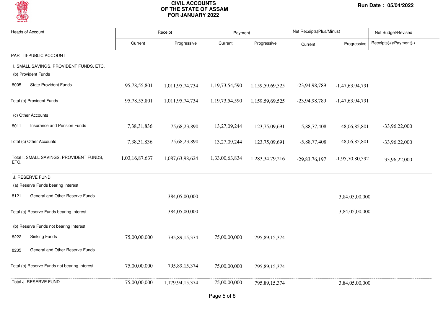

| <b>Heads of Account</b> |                                              | Receipt        |                 | Payment            |                 | Net Receipts(Plus/Minus) |                   | Net Budget/Revised     |  |
|-------------------------|----------------------------------------------|----------------|-----------------|--------------------|-----------------|--------------------------|-------------------|------------------------|--|
|                         |                                              | Current        | Progressive     | Current            | Progressive     | Current                  | Progressive       | Receipts(+)/Payment(-) |  |
|                         | PART III-PUBLIC ACCOUNT                      |                |                 |                    |                 |                          |                   |                        |  |
|                         | I. SMALL SAVINGS, PROVIDENT FUNDS, ETC.      |                |                 |                    |                 |                          |                   |                        |  |
|                         | (b) Provident Funds                          |                |                 |                    |                 |                          |                   |                        |  |
| 8005                    | <b>State Provident Funds</b>                 | 95,78,55,801   | 1,011,95,74,734 | 1,19,73,54,590     | 1,159,59,69,525 | -23,94,98,789            | $-1,47,63,94,791$ |                        |  |
|                         | Total (b) Provident Funds                    | 95,78,55,801   | 1,011,95,74,734 | 1, 19, 73, 54, 590 | 1,159,59,69,525 | -23,94,98,789            | $-1,47,63,94,791$ |                        |  |
|                         | (c) Other Accounts                           |                |                 |                    |                 |                          |                   |                        |  |
| 8011                    | Insurance and Pension Funds                  | 7,38,31,836    | 75,68,23,890    | 13,27,09,244       | 123,75,09,691   | $-5,88,77,408$           | $-48,06,85,801$   | $-33,96,22,000$        |  |
|                         | Total (c) Other Accounts                     | 7,38,31,836    | 75,68,23,890    | 13,27,09,244       | 123,75,09,691   | $-5,88,77,408$           | $-48,06,85,801$   | $-33,96,22,000$        |  |
| ETC.                    | Total I. SMALL SAVINGS, PROVIDENT FUNDS,     | 1,03,16,87,637 | 1,087,63,98,624 | 1,33,00,63,834     | 1,283,34,79,216 | $-29,83,76,197$          | $-1,95,70,80,592$ | $-33,96,22,000$        |  |
|                         | J. RESERVE FUND                              |                |                 |                    |                 |                          |                   |                        |  |
|                         | (a) Reserve Funds bearing Interest           |                |                 |                    |                 |                          |                   |                        |  |
| 8121                    | General and Other Reserve Funds              |                | 384,05,00,000   |                    |                 |                          | 3,84,05,00,000    |                        |  |
|                         | Total (a) Reserve Funds bearing Interest     |                | 384,05,00,000   |                    |                 |                          | 3,84,05,00,000    |                        |  |
|                         | (b) Reserve Funds not bearing Interest       |                |                 |                    |                 |                          |                   |                        |  |
| 8222                    | <b>Sinking Funds</b>                         | 75,00,00,000   | 795,89,15,374   | 75,00,00,000       | 795,89,15,374   |                          |                   |                        |  |
| 8235                    | General and Other Reserve Funds              |                |                 |                    |                 |                          |                   |                        |  |
|                         | Total (b) Reserve Funds not bearing Interest | 75,00,00,000   | 795,89,15,374   | 75,00,00,000       | 795,89,15,374   |                          |                   |                        |  |
|                         | Total J. RESERVE FUND                        | 75,00,00,000   | 1,179,94,15,374 | 75,00,00,000       | 795,89,15,374   |                          | 3,84,05,00,000    |                        |  |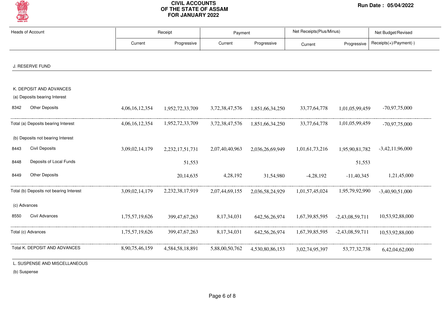

| <b>Heads of Account</b>                 |                | Receipt          |                | Payment          |                | Net Receipts (Plus/Minus) |                        |
|-----------------------------------------|----------------|------------------|----------------|------------------|----------------|---------------------------|------------------------|
|                                         | Current        | Progressive      | Current        | Progressive      | Current        | Progressive               | Receipts(+)/Payment(-) |
| J. RESERVE FUND                         |                |                  |                |                  |                |                           |                        |
| K. DEPOSIT AND ADVANCES                 |                |                  |                |                  |                |                           |                        |
| (a) Deposits bearing Interest           |                |                  |                |                  |                |                           |                        |
| <b>Other Deposits</b><br>8342           | 4,06,16,12,354 | 1,952,72,33,709  | 3,72,38,47,576 | 1,851,66,34,250  | 33,77,64,778   | 1,01,05,99,459            | $-70,97,75,000$        |
| Total (a) Deposits bearing Interest     | 4,06,16,12,354 | 1,952,72,33,709  | 3,72,38,47,576 | 1,851,66,34,250  | 33,77,64,778   | 1,01,05,99,459            | $-70,97,75,000$        |
| (b) Deposits not bearing Interest       |                |                  |                |                  |                |                           |                        |
| <b>Civil Deposits</b><br>8443           | 3,09,02,14,179 | 2,232,17,51,731  | 2,07,40,40,963 | 2,036,26,69,949  | 1,01,61,73,216 | 1,95,90,81,782            | $-3,42,11,96,000$      |
| Deposits of Local Funds<br>8448         |                | 51,553           |                |                  |                | 51,553                    |                        |
| <b>Other Deposits</b><br>8449           |                | 20,14,635        | 4,28,192       | 31,54,980        | $-4,28,192$    | $-11,40,345$              | 1,21,45,000            |
| Total (b) Deposits not bearing Interest | 3,09,02,14,179 | 2,232,38,17,919  | 2,07,44,69,155 | 2,036,58,24,929  | 1,01,57,45,024 | 1,95,79,92,990            | $-3,40,90,51,000$      |
| (c) Advances                            |                |                  |                |                  |                |                           |                        |
| Civil Advances<br>8550                  | 1,75,57,19,626 | 399,47,67,263    | 8,17,34,031    | 642, 56, 26, 974 | 1,67,39,85,595 | $-2,43,08,59,711$         | 10,53,92,88,000        |
| Total (c) Advances                      | 1,75,57,19,626 | 399, 47, 67, 263 | 8,17,34,031    | 642, 56, 26, 974 | 1,67,39,85,595 | $-2,43,08,59,711$         | 10,53,92,88,000        |
| Total K. DEPOSIT AND ADVANCES           | 8,90,75,46,159 | 4,584,58,18,891  | 5,88,00,50,762 | 4,530,80,86,153  | 3,02,74,95,397 | 53,77,32,738              | 6,42,04,62,000         |

(b) Suspense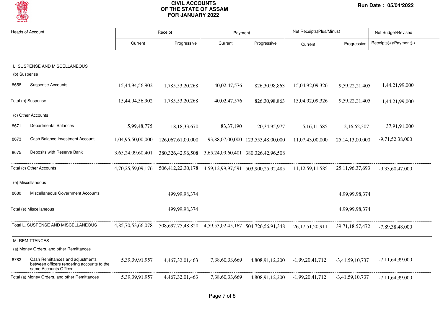

| <b>Heads of Account</b>                                                                                         | Receipt            |                                                                         | Payment        |                                                                       | Net Receipts(Plus/Minus) |                     | Net Budget/Revised     |  |
|-----------------------------------------------------------------------------------------------------------------|--------------------|-------------------------------------------------------------------------|----------------|-----------------------------------------------------------------------|--------------------------|---------------------|------------------------|--|
|                                                                                                                 | Current            | Progressive                                                             | Current        | Progressive                                                           | Current                  | Progressive         | Receipts(+)/Payment(-) |  |
| L. SUSPENSE AND MISCELLANEOUS                                                                                   |                    |                                                                         |                |                                                                       |                          |                     |                        |  |
| (b) Suspense                                                                                                    |                    |                                                                         |                |                                                                       |                          |                     |                        |  |
| <b>Suspense Accounts</b><br>8658                                                                                | 15,44,94,56,902    | 1,785,53,20,268                                                         | 40,02,47,576   | 826, 30, 98, 863                                                      | 15,04,92,09,326          | 9,59,22,21,405      | 1,44,21,99,000         |  |
| Total (b) Suspense                                                                                              | 15,44,94,56,902    | 1,785,53,20,268                                                         | 40,02,47,576   | 826, 30, 98, 863                                                      | 15,04,92,09,326          | 9,59,22,21,405      | 1,44,21,99,000         |  |
| (c) Other Accounts                                                                                              |                    |                                                                         |                |                                                                       |                          |                     |                        |  |
| <b>Departmental Balances</b><br>8671                                                                            | 5,99,48,775        | 18, 18, 33, 670                                                         | 83, 37, 190    | 20, 34, 95, 977                                                       | 5, 16, 11, 585           | $-2,16,62,307$      | 37,91,91,000           |  |
| Cash Balance Investment Account<br>8673                                                                         | 1,04,95,50,00,000  | 126,067,61,00,000                                                       |                | 93,88,07,00,000 123,553,48,00,000                                     | 11,07,43,00,000          | 25, 14, 13, 00, 000 | $-9,71,52,38,000$      |  |
| Deposits with Reserve Bank<br>8675                                                                              | 3,65,24,09,60,401  | 380,326,42,96,508 3,65,24,09,60,401 380,326,42,96,508                   |                |                                                                       |                          |                     |                        |  |
| Total (c) Other Accounts                                                                                        | 4,70,25,59,09,176  |                                                                         |                | 506,412,22,30,178 4,59,12,99,97,591 503,900,25,92,485 11,12,59,11,585 |                          | 25, 11, 96, 37, 693 | $-9,33,60,47,000$      |  |
| (e) Miscellaneous                                                                                               |                    |                                                                         |                |                                                                       |                          |                     |                        |  |
| Miscellaneous Government Accounts<br>8680                                                                       |                    | 499,99,98,374                                                           |                |                                                                       |                          | 4,99,99,98,374      |                        |  |
| Total (e) Miscellaneous                                                                                         |                    | 499,99,98,374                                                           |                |                                                                       |                          | 4,99,99,98,374      |                        |  |
| Total L. SUSPENSE AND MISCELLANEOUS                                                                             |                    | 4,85,70,53,66,078 508,697,75,48,820 4,59,53,02,45,167 504,726,56,91,348 |                |                                                                       | 26, 17, 51, 20, 911      | 39,71,18,57,472     | $-7,89,38,48,000$      |  |
| M. REMITTANCES                                                                                                  |                    |                                                                         |                |                                                                       |                          |                     |                        |  |
| (a) Money Orders, and other Remittances                                                                         |                    |                                                                         |                |                                                                       |                          |                     |                        |  |
| Cash Remittances and adjustments<br>8782<br>between officers rendering accounts to the<br>same Accounts Officer | 5, 39, 39, 91, 957 | 4,467,32,01,463                                                         | 7,38,60,33,669 | 4,808,91,12,200                                                       | $-1,99,20,41,712$        | $-3,41,59,10,737$   | $-7,11,64,39,000$      |  |
| Total (a) Money Orders, and other Remittances                                                                   | 5, 39, 39, 91, 957 | 4,467,32,01,463                                                         | 7,38,60,33,669 | 4,808,91,12,200                                                       | $-1,99,20,41,712$        | $-3,41,59,10,737$   | $-7,11,64,39,000$      |  |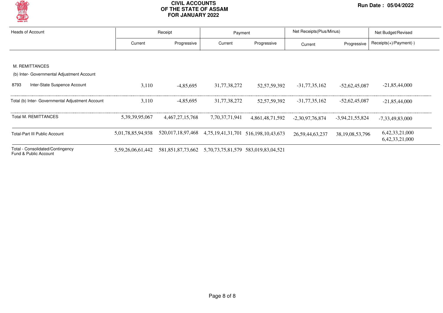

| <b>Heads of Account</b>                                   | Receipt<br>Payment |                                                                         |                | Net Receipts (Plus/Minus) | Net Budget/Revised  |                     |                                      |
|-----------------------------------------------------------|--------------------|-------------------------------------------------------------------------|----------------|---------------------------|---------------------|---------------------|--------------------------------------|
|                                                           | Current            | Progressive                                                             | Current        | Progressive               | Current             | Progressive         | Receipts(+)/Payment(-)               |
|                                                           |                    |                                                                         |                |                           |                     |                     |                                      |
| M. REMITTANCES                                            |                    |                                                                         |                |                           |                     |                     |                                      |
| (b) Inter- Governmental Adjustment Account                |                    |                                                                         |                |                           |                     |                     |                                      |
| Inter-State Suspence Account<br>8793                      | 3.110              | $-4,85,695$                                                             | 31,77,38,272   | 52, 57, 59, 392           | $-31,77,35,162$     | $-52,62,45,087$     | $-21,85,44,000$                      |
| Total (b) Inter- Governmental Adjustment Account          | 3.110              | $-4,85,695$                                                             | 31,77,38,272   | 52, 57, 59, 392           | $-31,77,35,162$     | $-52,62,45,087$     | $-21,85,44,000$                      |
| <b>Total M. REMITTANCES</b>                               | 5.39.39.95.067     | 4.467.27.15.768                                                         | 7.70.37.71.941 | 4,861,48,71,592           | $-2.30.97.76.874$   | $-3,94,21,55,824$   | $-7,33,49,83,000$                    |
| <b>Total-Part III Public Account</b>                      | 5,01,78,85,94,938  | 520,017,18,97,468 4,75,19,41,31,701 516,198,10,43,673                   |                |                           | 26, 59, 44, 63, 237 | 38, 19, 08, 53, 796 | 6, 42, 33, 21, 000<br>6,42,33,21,000 |
| Total - Consolidated/Contingency<br>Fund & Public Account |                    | 5,59,26,06,61,442 581,851,87,73,662 5,70,73,75,81,579 583,019,83,04,521 |                |                           |                     |                     |                                      |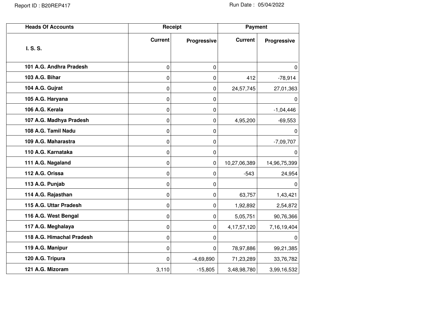| <b>Heads Of Accounts</b>  |                | Receipt     |                | <b>Payment</b>     |
|---------------------------|----------------|-------------|----------------|--------------------|
| I. S. S.                  | <b>Current</b> | Progressive | <b>Current</b> | <b>Progressive</b> |
| 101 A.G. Andhra Pradesh   | 0              | 0           |                | 0                  |
| 103 A.G. Bihar            | 0              | 0           | 412            | $-78,914$          |
| 104 A.G. Gujrat           | 0              | 0           | 24,57,745      | 27,01,363          |
| 105 A.G. Haryana          | 0              | 0           |                | 0                  |
| 106 A.G. Kerala           | 0              | 0           |                | $-1,04,446$        |
| 107 A.G. Madhya Pradesh   | 0              | 0           | 4,95,200       | $-69,553$          |
| 108 A.G. Tamil Nadu       | 0              | 0           |                | 0                  |
| 109 A.G. Maharastra       | 0              | 0           |                | $-7,09,707$        |
| 110 A.G. Karnataka        | 0              | 0           |                | 0                  |
| 111 A.G. Nagaland         | 0              | 0           | 10,27,06,389   | 14,96,75,399       |
| 112 A.G. Orissa           | 0              | 0           | $-543$         | 24,954             |
| 113 A.G. Punjab           | 0              | 0           |                | 0                  |
| 114 A.G. Rajasthan        | 0              | 0           | 63,757         | 1,43,421           |
| 115 A.G. Uttar Pradesh    | 0              | 0           | 1,92,892       | 2,54,872           |
| 116 A.G. West Bengal      | 0              | 0           | 5,05,751       | 90,76,366          |
| 117 A.G. Meghalaya        | 0              | 0           | 4, 17, 57, 120 | 7,16,19,404        |
| 118 A.G. Himachal Pradesh | 0              | 0           |                | 0                  |
| 119 A.G. Manipur          | 0              | 0           | 78,97,886      | 99,21,385          |
| 120 A.G. Tripura          | 0              | $-4,69,890$ | 71,23,289      | 33,76,782          |
| 121 A.G. Mizoram          | 3,110          | $-15,805$   | 3,48,98,780    | 3,99,16,532        |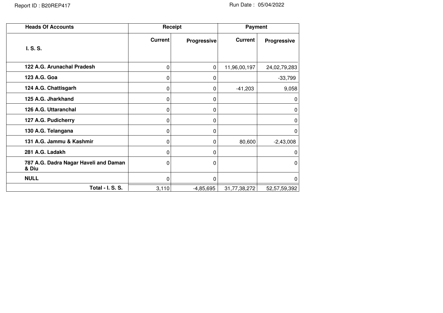| <b>Heads Of Accounts</b>                       | Receipt        |             | Payment        |              |
|------------------------------------------------|----------------|-------------|----------------|--------------|
| I. S. S.                                       | <b>Current</b> | Progressive | <b>Current</b> | Progressive  |
| 122 A.G. Arunachal Pradesh                     | 0              | 0           | 11,96,00,197   | 24,02,79,283 |
| 123 A.G. Goa                                   | 0              | 0           |                | $-33,799$    |
| 124 A.G. Chattisgarh                           | 0              | 0           | $-41,203$      | 9,058        |
| 125 A.G. Jharkhand                             | 0              | 0           |                | 0            |
| 126 A.G. Uttaranchal                           | 0              | 0           |                | 0            |
| 127 A.G. Pudicherry                            | 0              | $\Omega$    |                | 0            |
| 130 A.G. Telangana                             | 0              | 0           |                | 0            |
| 131 A.G. Jammu & Kashmir                       | 0              | 0           | 80,600         | $-2,43,008$  |
| 281 A.G. Ladakh                                | 0              | 0           |                | 0            |
| 787 A.G. Dadra Nagar Haveli and Daman<br>& Diu | 0              | 0           |                | $\mathbf{0}$ |
| <b>NULL</b>                                    | 0              | $\Omega$    |                | $\Omega$     |
| Total - I. S. S.                               | 3,110          | $-4,85,695$ | 31,77,38,272   | 52,57,59,392 |